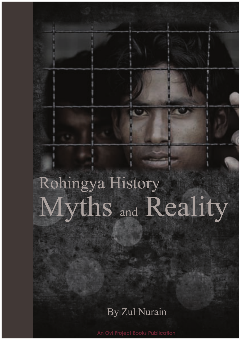# Myths and Reality Rohingya History

# By Zul Nurain

An Ovi Project Books Publication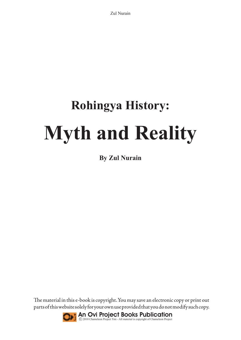# **Rohingya History: Myth and Reality**

**By Zul Nurain**

The material in this e-book is copyright. You may save an electronic copy or print out parts of this website solely for your own use provided that you do not modify such copy.

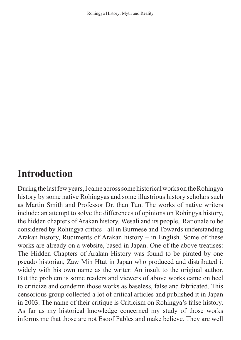# **Introduction**

During the last few years, I came across some historical works on the Rohingya history by some native Rohingyas and some illustrious history scholars such as Martin Smith and Professor Dr. than Tun. The works of native writers include: an attempt to solve the differences of opinions on Rohingya history, the hidden chapters of Arakan history, Wesali and its people, Rationale to be considered by Rohingya critics - all in Burmese and Towards understanding Arakan history, Rudiments of Arakan history – in English. Some of these works are already on a website, based in Japan. One of the above treatises: The Hidden Chapters of Arakan History was found to be pirated by one pseudo historian, Zaw Min Htut in Japan who produced and distributed it widely with his own name as the writer: An insult to the original author. But the problem is some readers and viewers of above works came on heel to criticize and condemn those works as baseless, false and fabricated. This censorious group collected a lot of critical articles and published it in Japan in 2003. The name of their critique is Criticism on Rohingya's false history. As far as my historical knowledge concerned my study of those works informs me that those are not Esoof Fables and make believe. They are well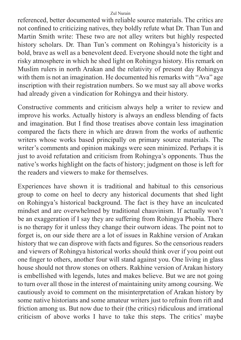referenced, better documented with reliable source materials. The critics are not confined to criticizing natives, they boldly refute what Dr. Than Tun and Martin Smith write: These two are not alley writers but highly respected history scholars. Dr. Than Tun's comment on Rohingya's historicity is a bold, brave as well as a benevolent deed. Everyone should note the tight and risky atmosphere in which he shed light on Rohingya history. His remark on Muslim rulers in north Arakan and the relativity of present day Rohingya with them is not an imagination. He documented his remarks with "Ava" age inscription with their registration numbers. So we must say all above works had already given a vindication for Rohingya and their history.

Constructive comments and criticism always help a writer to review and improve his works. Actually history is always an endless blending of facts and imagination. But I find those treatises above contain less imagination compared the facts there in which are drawn from the works of authentic writers whose works based principally on primary source materials. The writer's comments and opinion makings were seen minimized. Perhaps it is just to avoid refutation and criticism from Rohingya's opponents. Thus the native's works highlight on the facts of history; judgment on those is left for the readers and viewers to make for themselves.

Experiences have shown it is traditional and habitual to this censorious group to come on heel to decry any historical documents that shed light on Rohingya's historical background. The fact is they have an inculcated mindset and are overwhelmed by traditional chauvinism. If actually won't be an exaggeration if I say they are suffering from Rohingya Phobia. There is no therapy for it unless they change their outworn ideas. The point not to forget is, on our side there are a lot of issues in Rakhine version of Arakan history that we can disprove with facts and figures. So the censorious readers and viewers of Rohingya historical works should think over if you point out one finger to others, another four will stand against you. One living in glass house should not throw stones on others. Rakhine version of Arakan history is embellished with legends, lutes and makes believe. But we are not going to turn over all those in the interest of maintaining unity among coursing. We cautiously avoid to comment on the misinterpretation of Arakan history by some native historians and some amateur writers just to refrain from rift and friction among us. But now due to their (the critics) ridiculous and irrational criticism of above works I have to take this steps. The critics' maybe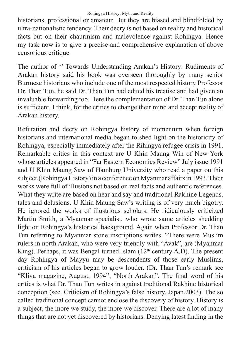historians, professional or amateur. But they are biased and blindfolded by ultra-nationalistic tendency. Their decry is not based on reality and historical facts but on their chaurinism and malevolence against Rohingya. Hence my task now is to give a precise and comprehensive explanation of above censorious critique.

The author of '' Towards Understanding Arakan's History: Rudiments of Arakan history said his book was overseen thoroughly by many senior Burmese historians who include one of the most respected history Professor Dr. Than Tun, he said Dr. Than Tun had edited his treatise and had given an invaluable forwarding too. Here the complementation of Dr. Than Tun alone is sufficient, I think, for the critics to change their mind and accept reality of Arakan history.

Refutation and decry on Rohingya history of momentum when foreign historians and international media began to shed light on the historicity of Rohingya, especially immediately after the Rihingya refugee crisis in 1991. Remarkable critics in this context are U Khin Maung Win of New York whose articles appeared in "Far Eastern Economics Review" July issue 1991 and U Khin Maung Saw of Hamburg University who read a paper on this subject.(Rohingya History) in a conference on Myanmar affairs in 1993. Their works were full of illusions not based on real facts and authentic references. What they write are based on hear and say and traditional Rakhine Legends, tales and delusions. U Khin Maung Saw's writing is of very much bigotry. He ignored the works of illustrious scholars. He ridiculously criticized Martin Smith, a Myanmar specialist, who wrote same articles shedding light on Rohingya's historical background. Again when Professor Dr. Than Tun referring to Myanmar stone inscriptions writes. "There were Muslim rulers in north Arakan, who were very friendly with "Avak", are (Myanmar King). Perhaps, it was Bengal turned Islam  $(12<sup>th</sup>$  century A.D). The present day Rohingya of Mayyu may be descendents of those early Muslims, criticism of his articles began to grow louder. (Dr. Than Tun's remark see "Kliya magazine, August, 1994", "North Arakan". The final word of his critics is what Dr. Than Tun writes in against traditional Rakhine historical conception (see. Criticism of Rohingya's false history, Japan,2003). The so called traditional concept cannot enclose the discovery of history. History is a subject, the more we study, the more we discover. There are a lot of many things that are not yet discovered by historians. Denying latest finding in the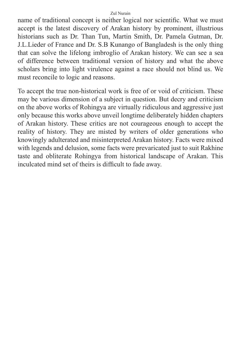name of traditional concept is neither logical nor scientific. What we must accept is the latest discovery of Arakan history by prominent, illustrious historians such as Dr. Than Tun, Martin Smith, Dr. Pamela Gutman, Dr. J.L.Lieder of France and Dr. S.B Kunango of Bangladesh is the only thing that can solve the lifelong imbroglio of Arakan history. We can see a sea of difference between traditional version of history and what the above scholars bring into light virulence against a race should not blind us. We must reconcile to logic and reasons.

To accept the true non-historical work is free of or void of criticism. These may be various dimension of a subject in question. But decry and criticism on the above works of Rohingya are virtually ridiculous and aggressive just only because this works above unveil longtime deliberately hidden chapters of Arakan history. These critics are not courageous enough to accept the reality of history. They are misted by writers of older generations who knowingly adulterated and misinterpreted Arakan history. Facts were mixed with legends and delusion, some facts were prevaricated just to suit Rakhine taste and obliterate Rohingya from historical landscape of Arakan. This inculcated mind set of theirs is difficult to fade away.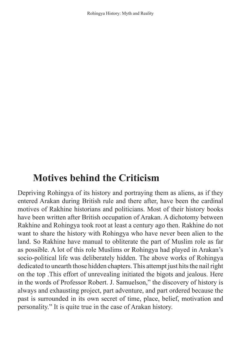# **Motives behind the Criticism**

Depriving Rohingya of its history and portraying them as aliens, as if they entered Arakan during British rule and there after, have been the cardinal motives of Rakhine historians and politicians. Most of their history books have been written after British occupation of Arakan. A dichotomy between Rakhine and Rohingya took root at least a century ago then. Rakhine do not want to share the history with Rohingya who have never been alien to the land. So Rakhine have manual to obliterate the part of Muslim role as far as possible. A lot of this role Muslims or Rohingya had played in Arakan's socio-political life was deliberately hidden. The above works of Rohingya dedicated to unearth those hidden chapters. This attempt just hits the nail right on the top .This effort of unrevealing initiated the bigots and jealous. Here in the words of Professor Robert. J. Samuelson," the discovery of history is always and exhausting project, part adventure, and part ordered because the past is surrounded in its own secret of time, place, belief, motivation and personality." It is quite true in the case of Arakan history.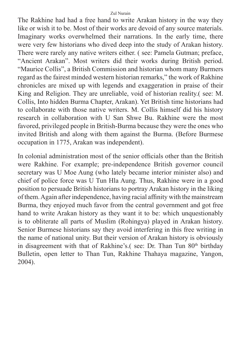The Rakhine had had a free hand to write Arakan history in the way they like or wish it to be. Most of their works are devoid of any source materials. Imaginary works overwhelmed their narrations. In the early time, there were very few historians who dived deep into the study of Arakan history. There were rarely any native writers either. ( see: Pamela Gutman; preface, "Ancient Arakan". Most writers did their works during British period. "Maurice Collis", a British Commission and historian whom many Burmers regard as the fairest minded western historian remarks," the work of Rakhine chronicles are mixed up with legends and exaggeration in praise of their King and Religion. They are unreliable, void of historian reality.( see: M. Collis, Into hidden Burma Chapter, Arakan). Yet British time historians had to collaborate with those native writers. M. Collis himself did his history research in collaboration with U San Shwe Bu. Rakhine were the most favored, privileged people in British-Burma because they were the ones who invited British and along with them against the Burma. (Before Burmese occupation in 1775, Arakan was independent).

In colonial administration most of the senior officials other than the British were Rakhine. For example; pre-independence British governor council secretary was U Moe Aung (who lately became interior minister also) and chief of police force was U Tun Hla Aung. Thus, Rakhine were in a good position to persuade British historians to portray Arakan history in the liking of them. Again after independence, having racial affinity with the mainstream Burma, they enjoyed much favor from the central government and got free hand to write Arakan history as they want it to be: which unquestionably is to obliterate all parts of Muslim (Rohingya) played in Arakan history. Senior Burmese historians say they avoid interfering in this free writing in the name of national unity. But their version of Arakan history is obviously in disagreement with that of Rakhine's.( see: Dr. Than Tun 80<sup>th</sup> birthday Bulletin, open letter to Than Tun, Rakhine Thahaya magazine, Yangon, 2004).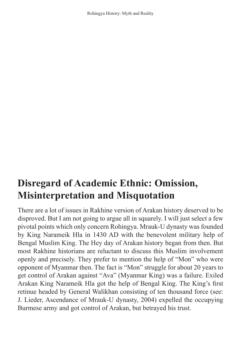# **Disregard of Academic Ethnic: Omission, Misinterpretation and Misquotation**

There are a lot of issues in Rakhine version of Arakan history deserved to be disproved. But I am not going to argue all in squarely. I will just select a few pivotal points which only concern Rohingya. Mrauk-U dynasty was founded by King Narameik Hla in 1430 AD with the benevolent military help of Bengal Muslim King. The Hey day of Arakan history began from then. But most Rakhine historians are reluctant to discuss this Muslim involvement openly and precisely. They prefer to mention the help of "Mon" who were opponent of Myanmar then. The fact is "Mon" struggle for about 20 years to get control of Arakan against "Ava" (Myanmar King) was a failure. Exiled Arakan King Narameik Hla got the help of Bengal King. The King's first retinue headed by General Walikhan consisting of ten thousand force (see: J. Lieder, Ascendance of Mrauk-U dynasty, 2004) expelled the occupying Burmese army and got control of Arakan, but betrayed his trust.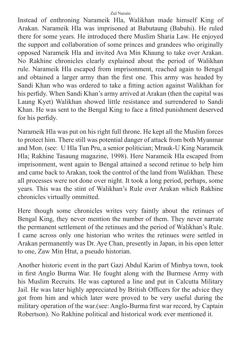Instead of enthroning Narameik Hla, Walikhan made himself King of Arakan. Narameik Hla was imprisoned at Babutaung (Babuhi). He ruled there for some years. He introduced there Muslim Sharia Law. He enjoyed the support and collaboration of some princes and grandees who originally opposed Narameik Hla and invited Ava Min Khaung to take over Arakan. No Rakhine chronicles clearly explained about the period of Walikhan rule. Narameik Hla escaped from imprisonment, reached again to Bengal and obtained a larger army than the first one. This army was headed by Sandi Khan who was ordered to take a fitting action against Walikhan for his perfidy. When Sandi Khan's army arrived at Arakan (then the capital was Laung Kyet) Walikhan showed little resistance and surrendered to Sandi Khan. He was sent to the Bengal King to face a fitted punishment deserved for his perfidy.

Narameik Hla was put on his right full throne. He kept all the Muslim forces to protect him. There still was potential danger of attack from both Myanmar and Mon. (see: U Hla Tun Pru, a senior politician; Mrauk-U King Narameik Hla; Rakhine Tasaung magazine, 1998). Here Narameik Hla escaped from imprisonment, went again to Bengal attained a second retinue to help him and came back to Arakan, took the control of the land from Walikhan. These all processes were not done over night. It took a long period, perhaps, some years. This was the stint of Walikhan's Rule over Arakan which Rakhine chronicles virtually ommitted.

Here though some chronicles writes very faintly about the retinues of Bengal King, they never mention the number of them. They never narrate the permanent settlement of the retinues and the period of Walikhan's Rule. I came across only one historian who writes the retinues were settled in Arakan permanently was Dr. Aye Chan, presently in Japan, in his open letter to one, Zaw Min Htut, a pseudo historian.

Another historic event in the part Gazi Abdul Karim of Minbya town, took in first Anglo Burma War. He fought along with the Burmese Army with his Muslim Recruits. He was captured a line and put in Calcutta Military Jail. He was later highly appreciated by British Officers for the advice they got from him and which later were proved to be very useful during the military operation of the war.(see: Anglo-Burma first war record, by Captain Robertson). No Rakhine political and historical work ever mentioned it.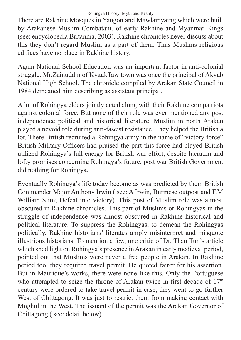There are Rakhine Mosques in Yangon and Mawlamyaing which were built by Arakanese Muslim Combatant, of early Rakhine and Myanmar Kings (see: encyclopedia Britannia, 2003). Rakhine chronicles never discuss about this they don't regard Muslim as a part of them. Thus Muslims religious edifices have no place in Rakhine history.

Again National School Education was an important factor in anti-colonial struggle. Mr.Zainuddin of KyaukTaw town was once the principal of Akyab National High School. The chronicle compiled by Arakan State Council in 1984 demeaned him describing as assistant principal.

A lot of Rohingya elders jointly acted along with their Rakhine compatriots against colonial force. But none of their role was ever mentioned any post independence political and historical literature. Muslim in north Arakan played a nevoid role during anti-fascist resistance. They helped the British a lot. There British recruited a Rohingya army in the name of "victory force" British Military Officers had praised the part this force had played British utilized Rohingya's full energy for British war effort, despite lucratim and lofty promises concerning Rohingya's future, post war British Government did nothing for Rohingya.

Eventually Rohingya's life today become as was predicted by them British Commander Major Anthony Irwin.( see: A Irwin, Burmese outpost and F.M William Slim; Defeat into victory). This post of Muslim role was almost obscured in Rakhine chronicles. This part of Muslims or Rohingyas in the struggle of independence was almost obscured in Rakhine historical and political literature. To suppress the Rohingyas, to demean the Rohingyas politically, Rakhine historians' literates amply misinterpret and misquote illustrious historians. To mention a few, one critic of Dr. Than Tun's article which shed light on Rohingya's presence in Arakan in early medieval period, pointed out that Muslims were never a free people in Arakan. In Rakhine period too, they required travel permit. He quoted fairer for his assertion. But in Maurique's works, there were none like this. Only the Portuguese who attempted to seize the throne of Arakan twice in first decade of  $17<sup>th</sup>$ century were ordered to take travel permit in case, they went to go further West of Chittagong. It was just to restrict them from making contact with Moghul in the West. The issuant of the permit was the Arakan Governor of Chittagong.( see: detail below)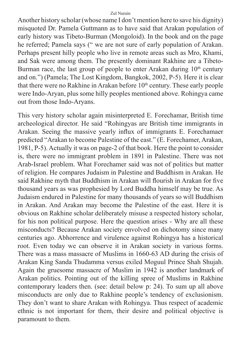Another history scholar (whose name I don't mention here to save his dignity) misquoted Dr. Pamela Guttmann as to have said that Arakan population of early history was Tibeto-Burman (Mongoloid). In the book and on the page he referred; Pamela says (" we are not sure of early population of Arakan. Perhaps present hilly people who live in remote areas such as Mro, Khami, and Sak were among them. The presently dominant Rakhine are a Tibeto-Burman race, the last group of people to enter Arakan during  $10<sup>th</sup>$  century and on.") (Pamela; The Lost Kingdom, Bangkok, 2002, P-5). Here it is clear that there were no Rakhine in Arakan before  $10<sup>th</sup>$  century. These early people were Indo-Aryan, plus some hilly peoples mentioned above. Rohingya came out from those Indo-Aryans.

This very history scholar again misinterpreted E. Forechamar, British time archeological director. He said "Rohingyas are British time immigrants in Arakan. Seeing the massive yearly influx of immigrants E. Forechamaer predicted "Arakan to become Palestine of the east." (E. Forechamer, Arakan, 1981, P-5). Actually it was on page-2 of that book. Here the point to consider is, there were no immigrant problem in 1891 in Palestine. There was not Arab-Israel problem. What Forechamer said was not of politics but matter of religion. He compares Judaism in Palestine and Buddhism in Arakan. He said Rakhine myth that Buddhism in Arakan will flourish in Arakan for five thousand years as was prophesied by Lord Buddha himself may be true. As Judaism endured in Palestine for many thousands of years so will Buddhism in Arakan. And Arakan may become the Palestine of the east. Here it is obvious on Rakhine scholar deliberately misuse a respected history scholar, for his non political purpose. Here the question arises - Why are all these misconducts? Because Arakan society envolved on dichotomy since many centuries ago. Abhorrence and virulence against Rohingya has a historical root. Even today we can observe it in Arakan society in various forms. There was a mass massacre of Muslims in 1660-63 AD during the crisis of Arakan King Sanda Thudamma versus exiled Moguul Prince Shah Shujah. Again the gruesome massacre of Muslim in 1942 is another landmark of Arakan politics. Pointing out of the killing spree of Muslims in Rakhine contemporary leaders then. (see: detail below p: 24). To sum up all above misconducts are only due to Rakhine people's tendency of exclusionism. They don't want to share Arakan with Rohingya. Thus respect of academic ethnic is not important for them, their desire and political objective is paramount to them.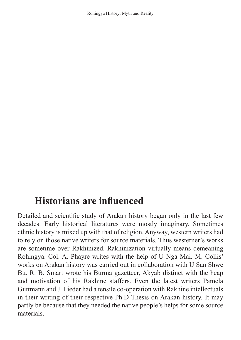## **Historians are influenced**

Detailed and scientific study of Arakan history began only in the last few decades. Early historical literatures were mostly imaginary. Sometimes ethnic history is mixed up with that of religion. Anyway, western writers had to rely on those native writers for source materials. Thus westerner's works are sometime over Rakhinized. Rakhinization virtually means demeaning Rohingya. Col. A. Phayre writes with the help of U Nga Mai. M. Collis' works on Arakan history was carried out in collaboration with U San Shwe Bu. R. B. Smart wrote his Burma gazetteer, Akyab distinct with the heap and motivation of his Rakhine staffers. Even the latest writers Pamela Guttmann and J. Lieder had a tensile co-operation with Rakhine intellectuals in their writing of their respective Ph.D Thesis on Arakan history. It may partly be because that they needed the native people's helps for some source materials.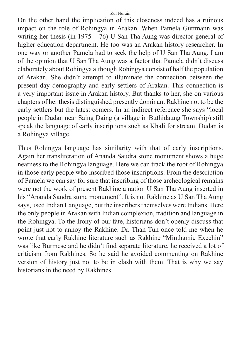On the other hand the implication of this closeness indeed has a ruinous impact on the role of Rohingya in Arakan. When Pamela Guttmann was writing her thesis (in 1975 – 76) U San Tha Aung was director general of higher education department. He too was an Arakan history researcher. In one way or another Pamela had to seek the help of U San Tha Aung. I am of the opinion that U San Tha Aung was a factor that Pamela didn't discuss elaborately about Rohingya although Rohingya consist of half the population of Arakan. She didn't attempt to illuminate the connection between the present day demography and early settlers of Arakan. This connection is a very important issue in Arakan history. But thanks to her, she on various chapters of her thesis distinguished presently dominant Rakhine not to be the early settlers but the latest comers. In an indirect reference she says "local people in Dudan near Saing Daing (a village in Buthidaung Township) still speak the language of early inscriptions such as Khali for stream. Dudan is a Rohingya village.

Thus Rohingya language has similarity with that of early inscriptions. Again her transliteration of Ananda Saudra stone monument shows a huge nearness to the Rohingya language. Here we can track the root of Rohingya in those early people who inscribed those inscriptions. From the description of Pamela we can say for sure that inscribing of those archeological remains were not the work of present Rakhine a nation U San Tha Aung inserted in his "Ananda Sandra stone monument". It is not Rakhine as U San Tha Aung says, used Indian Language, but the inscribers themselves were Indians. Here the only people in Arakan with Indian complexion, tradition and language in the Rohingya. To the Irony of our fate, historians don't openly discuss that point just not to annoy the Rakhine. Dr. Than Tun once told me when he wrote that early Rakhine literature such as Rakhine "Minthamie Exechin" was like Burmese and he didn't find separate literature, he received a lot of criticism from Rakhines. So he said he avoided commenting on Rakhine version of history just not to be in clash with them. That is why we say historians in the need by Rakhines.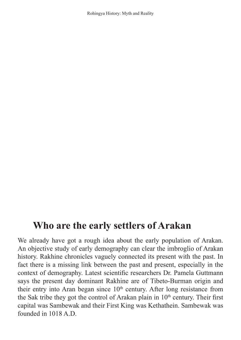## **Who are the early settlers of Arakan**

We already have got a rough idea about the early population of Arakan. An objective study of early demography can clear the imbroglio of Arakan history. Rakhine chronicles vaguely connected its present with the past. In fact there is a missing link between the past and present, especially in the context of demography. Latest scientific researchers Dr. Pamela Guttmann says the present day dominant Rakhine are of Tibeto-Burman origin and their entry into Aran began since  $10<sup>th</sup>$  century. After long resistance from the Sak tribe they got the control of Arakan plain in  $10<sup>th</sup>$  century. Their first capital was Sambewak and their First King was Kethathein. Sambewak was founded in  $1018$  A.D.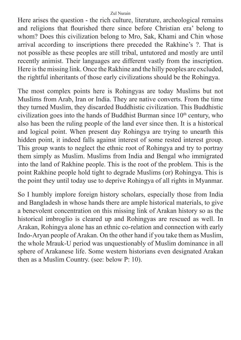Here arises the question - the rich culture, literature, archeological remains and religions that flourished there since before Christian era' belong to whom? Does this civilization belong to Mro, Sak, Khami and Chin whose arrival according to inscriptions there preceded the Rakhine's ?. That is not possible as these peoples are still tribal, untutored and mostly are until recently animist. Their languages are different vastly from the inscription. Here is the missing link. Once the Rakhine and the hilly peoples are excluded, the rightful inheritants of those early civilizations should be the Rohingya.

The most complex points here is Rohingyas are today Muslims but not Muslims from Arab, Iran or India. They are native converts. From the time they turned Muslim, they discarded Buddhistic civilization. This Buddhistic civilization goes into the hands of Buddhist Burman since  $10<sup>th</sup>$  century, who also has been the ruling people of the land ever since then. It is a historical and logical point. When present day Rohingya are trying to unearth this hidden point, it indeed falls against interest of some rested interest group. This group wants to neglect the ethnic root of Rohingya and try to portray them simply as Muslim. Muslims from India and Bengal who immigrated into the land of Rakhine people. This is the root of the problem. This is the point Rakhine people hold tight to degrade Muslims (or) Rohingya. This is the point they until today use to deprive Rohingya of all rights in Myanmar.

So I humbly implore foreign history scholars, especially those from India and Bangladesh in whose hands there are ample historical materials, to give a benevolent concentration on this missing link of Arakan history so as the historical imbroglio is cleared up and Rohingyas are rescued as well. In Arakan, Rohingya alone has an ethnic co-relation and connection with early Indo-Aryan people of Arakan. On the other hand if you take them as Muslim, the whole Mrauk-U period was unquestionably of Muslim dominance in all sphere of Arakanese life. Some western historians even designated Arakan then as a Muslim Country. (see: below P: 10).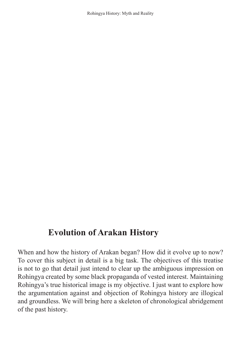## **Evolution of Arakan History**

When and how the history of Arakan began? How did it evolve up to now? To cover this subject in detail is a big task. The objectives of this treatise is not to go that detail just intend to clear up the ambiguous impression on Rohingya created by some black propaganda of vested interest. Maintaining Rohingya's true historical image is my objective. I just want to explore how the argumentation against and objection of Rohingya history are illogical and groundless. We will bring here a skeleton of chronological abridgement of the past history.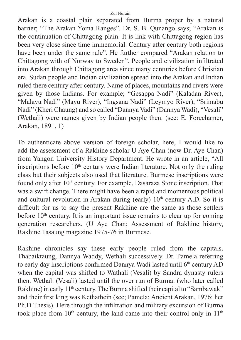Arakan is a coastal plain separated from Burma proper by a natural barrier; "The Arakan Yoma Ranges". Dr. S. B. Qunango says; "Arakan is the continuation of Chittagong plain. It is link with Chittagong region has been very close since time immemorial. Century after century both regions have been under the same rule". He further compared "Arakan relation to Chittagong with of Norway to Sweden". People and civilization infiltrated into Arakan through Chittagong area since many centuries before Christian era. Sudan people and Indian civilization spread into the Arakan and Indian ruled there century after century. Name of places, mountains and rivers were given by those Indians. For example; "Gesappa Nadi" (Kaladan River), "Malayu Nadi" (Mayu River), "Ingsana Nadi" (Leymyo River), "Srimabu Nadi" (Kheri Chaung) and so called "Dannya Vadi" (Dannya Wadi), "Vesali" (Wethali) were names given by Indian people then. (see: E. Forechamer, Arakan, 1891, 1)

To authenticate above version of foreign scholar, here, I would like to add the assessment of a Rakhine scholar U Aye Chan (now Dr. Aye Chan) from Yangon University History Department. He wrote in an article, "All inscriptions before  $10<sup>th</sup>$  century were Indian literature. Not only the ruling class but their subjects also used that literature. Burmese inscriptions were found only after 10<sup>th</sup> century. For example, Dasaraza Stone inscription. That was a swift change. There might have been a rapid and momentous political and cultural revolution in Arakan during (early)  $10<sup>th</sup>$  century A.D. So it is difficult for us to say the present Rakhine are the same as those settlers before  $10<sup>th</sup>$  century. It is an important issue remains to clear up for coming generation researchers. (U Aye Chan; Assessment of Rakhine history, Rakhine Tasaung magazine 1975-76 in Burmese.

Rakhine chronicles say these early people ruled from the capitals, Thabaiktaung, Dannya Waddy, Wethali successively. Dr. Pamela referring to early day inscriptions confirmed Dannya Wadi lasted until  $6<sup>th</sup>$  century AD when the capital was shifted to Wathali (Vesali) by Sandra dynasty rulers then. Wethali (Vesali) lasted until the over run of Burma. (who later called Rakhine) in early 11<sup>th</sup> century. The Burma shifted their capital to "Sambawak" and their first king was Kethathein (see; Pamela; Ancient Arakan, 1976: her Ph.D Thesis). Here through the infiltration and military excursion of Burma took place from  $10<sup>th</sup>$  century, the land came into their control only in  $11<sup>th</sup>$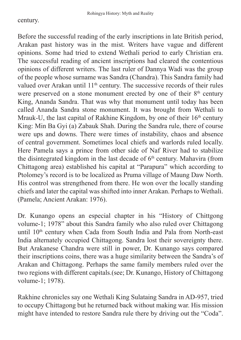#### century.

Before the successful reading of the early inscriptions in late British period, Arakan past history was in the mist. Writers have vague and different opinions. Some had tried to extend Wethali period to early Christian era. The successful reading of ancient inscriptions had cleared the contentious opinions of different writers. The last ruler of Dannya Wadi was the group of the people whose surname was Sandra (Chandra). This Sandra family had valued over Arakan until  $11<sup>th</sup>$  century. The successive records of their rules were preserved on a stone monument erected by one of their  $8<sup>th</sup>$  century King, Ananda Sandra. That was why that monument until today has been called Ananda Sandra stone monument. It was brought from Wethali to Mrauk-U, the last capital of Rakhine Kingdom, by one of their  $16<sup>th</sup>$  century King: Min Ba Gyi (a) Zabauk Shah. During the Sandra rule, there of course were ups and downs. There were times of instability, chaos and absence of central government. Sometimes local chiefs and warlords ruled locally. Here Pamela says a prince from other side of Naf River had to stabilize the disintegrated kingdom in the last decade of  $6<sup>th</sup>$  century. Mahavira (from Chittagong area) established his capital at "Parapura" which according to Ptolomey's record is to be localized as Pruma village of Maung Daw North. His control was strengthened from there. He won over the locally standing chiefs and later the capital was shifted into inner Arakan. Perhaps to Wethali. (Pamela; Ancient Arakan: 1976).

Dr. Kunango opens an especial chapter in his "History of Chittgong volume-1; 1978" about this Sandra family who also ruled over Chittagong until 10<sup>th</sup> century when Cada from South India and Pala from North-east India alternately occupied Chittagong. Sandra lost their sovereignty there. But Arakanese Chandra were still in power, Dr. Kunango says compared their inscriptions coins, there was a huge similarity between the Sandra's of Arakan and Chittagong. Perhaps the same family members ruled over the two regions with different capitals.(see; Dr. Kunango, History of Chittagong volume-1; 1978).

Rakhine chronicles say one Wethali King Sulataing Sandra in AD-957, tried to occupy Chittagong but he returned back without making war. His mission might have intended to restore Sandra rule there by driving out the "Coda".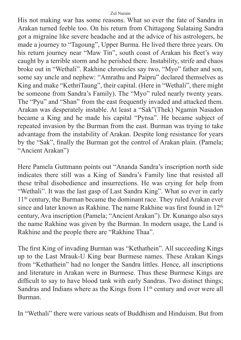His not making war has some reasons. What so ever the fate of Sandra in Arakan turned feeble too. On his return from Chittagong Sulataing Sandra got a migraine like severe headache and at the advice of his astrologers, he made a journey to "Tagoung", Upper Burma. He lived there three years. On his return journey near "Maw Tin", south coast of Arakan his fleet's way caught by a terrible storm and he perished there. Instability, strife and chaos broke out in "Wethali". Rakhine chronicles say two, "Myo" father and son, some say uncle and nephew: "Amrathu and Paipru" declared themselves as King and make "KethriTaung", their capital. (Here in "Wethali", there might be someone from Sandra's Family). The "Myo" ruled nearly twenty years. The "Pyu" and "Shan" from the east frequently invaded and attacked them. Arakan was desperately instable. At least a "Sak"(Thek) Ngamin Nasadon became a King and he made his capital "Pynsa". He became subject of repeated invasion by the Burman from the east. Burman was trying to take advantage from the instability of Arakan. Despite long resistance for years by the "Sak", finally the Burman got the control of Arakan plain. (Pamela; "Ancient Arakan")

Here Pamela Guttmann points out "Ananda Sandra's inscription north side indicates there still was a King of Sandra's Family line that resisted all these tribal disobedience and insurrections. He was crying for help from "Wethali". It was the last gasp of Last Sandra King". What so ever in early 11<sup>th</sup> century, the Burman became the dominant race. They ruled Arakan ever since and later known as Rakhine. The name Rakhine was first found in  $12<sup>th</sup>$ century, Ava inscription (Pamela; "Ancient Arakan"). Dr. Kunango also says the name Rakhine was given by the Burman. In modern usage, the Land is Rakhine and the people there are "Rakhine Thaa".

The first King of invading Burman was "Kethathein". All succeeding Kings up to the Last Mrauk-U King bear Burmese names. These Arakan Kings from "Kethathein" had no longer the Sandra littles. Hence, all inscriptions and literature in Arakan were in Burmese. Thus these Burmese Kings are difficult to say to have blood tank with early Sandras. Two distinct things; Sandras and Indians where as the Kings from 11<sup>th</sup> century and over were all Burman.

In "Wethali" there were various seats of Buddhism and Hinduism. But from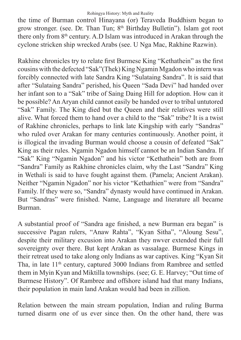the time of Burman control Hinayana (or) Teraveda Buddhism began to grow stronger. (see. Dr. Than Tun; 8th Birthday Bulletin"). Islam got root there only from 8th century. A.D Islam was introduced in Arakan through the cyclone stricken ship wrecked Arabs (see. U Nga Mac, Rakhine Razwin).

Rakhine chronicles try to relate first Burmese King "Kethathein" as the first cousins with the defected "Sak"(Thek) King Ngamin Mgadon who intern was forcibly connected with late Sandra King "Sulataing Sandra". It is said that after "Sulataing Sandra" perished, his Queen "Sada Devi" had handed over her infant son to a "Sak" tribe of Saing Daing Hill for adoption. How can it be possible? An Aryan child cannot easily be handed over to tribal untutored "Sak" Family. The King died but the Queen and their relatives were still alive. What forced them to hand over a child to the "Sak" tribe? It is a twist of Rakhine chronicles, perhaps to link late Kingship with early "Sandras" who ruled over Arakan for many centuries continuously. Another point, it is illogical the invading Burman would choose a cousin of defeated "Sak" King as their rules. Ngamin Ngadon himself cannot be an Indian Sandra. If "Sak" King "Ngamin Ngadon" and his victor "Kethathein" both are from "Sandra" Family as Rakhine chronicles claim, why the Last "Sandra" King in Wethali is said to have fought against them. (Pamela; Ancient Arakan). Neither "Ngamin Ngadon" nor his victor "Kethathien" were from "Sandra" Family. If they were so, "Sandra" dynasty would have continued in Arakan. But "Sandras" were finished. Name, Language and literature all became Burman.

A substantial proof of "Sandra age finished, a new Burman era began" is successive Pagan rulers, "Anaw Rahta", "Kyan Sitha", "Aloung Sesu", despite their military excusion into Arakan they nwver extended their full sovereignty over there. But kept Arakan as vassalage. Burmese Kings in their retreat used to take along only Indians as war captives. King "Kyan Sit Tha, in late  $11<sup>th</sup>$  century, captured 3000 Indians from Rambree and settled them in Myin Kyan and Miktilla townships. (see; G. E. Harvey; "Out time of Burmese History". Of Rambree and offshore island had that many Indians, their population in main land Arakan would had been in zillion.

Relation between the main stream population, Indian and ruling Burma turned disarm one of us ever since then. On the other hand, there was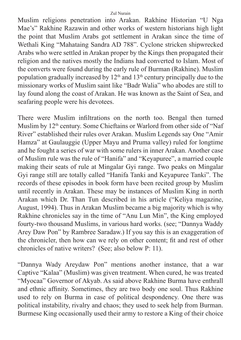Muslim religions penetration into Arakan. Rakhine Historian "U Nga Mae's" Rakhine Razawin and other works of western historians high light the point that Muslim Arabs got settlement in Arakan since the time of Wethali King "Mahataing Sandra AD 788". Cyclone stricken shipwrecked Arabs who were settled in Arakan proper by the Kings then propagated their religion and the natives mostly the Indians had converted to Islam. Most of the converts were found during the early rule of Burman (Rakhine). Muslim population gradually increased by  $12<sup>th</sup>$  and  $13<sup>th</sup>$  century principally due to the missionary works of Muslim saint like "Badr Walia" who abodes are still to lay found along the coast of Arakan. He was known as the Saint of Sea, and seafaring people were his devotees.

There were Muslim infiltrations on the north too. Bengal then turned Muslim by 12<sup>th</sup> century. Some Chieftains or Warlord from other side of "Naf River" established their rules over Arakan. Muslim Legends say One "Amir Hamza" at Gaulauggie (Upper Mayu and Pruma valley) ruled for longtime and he fought a series of war with some rulers in inner Arakan. Another case of Muslim rule was the rule of "Hanifa" and "Keyapuree", a married couple making their seats of rule at Mingalar Gyi range. Two peaks on Mingalar Gyi range still are totally called "Hanifa Tanki and Keyapuree Tanki". The records of these episodes in book form have been recited group by Muslim until recently in Arakan. These may be instances of Muslim King in north Arakan which Dr. Than Tun described in his article ("Keliya magazine, August, 1994). Thus in Arakan Muslim became a big majority which is why Rakhine chronicles say in the time of "Anu Lun Min", the King employed fourty-two thousand Muslims, in various hard works. (see; "Dannya Waddy Arey Daw Pon" by Rambree Saradaw.) If you say this is an exaggeration of the chronicler, then how can we rely on other content; fit and rest of other chronicles of native writers? (See; also below P: 11).

"Dannya Wady Areydaw Pon" mentions another instance, that a war Captive "Kalaa" (Muslim) was given treatment. When cured, he was treated "Myocaa" Governor of Akyab. As said above Rakhine Burma have enthrall and ethnic affinity. Sometimes, they are two body one soul. Thus Rakhine used to rely on Burma in case of political despondency. One there was political instability, rivalry and chaos; they used to seek help from Burman. Burmese King occasionally used their army to restore a King of their choice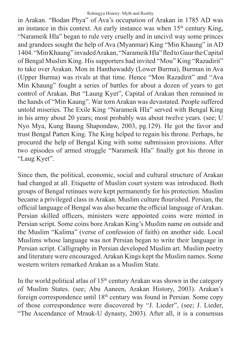in Arakan. "Bodan Phya" of Ava's occupation of Arakan in 1785 AD was an instance in this context. An early instance was when  $15<sup>th</sup>$  century King, "Narameik Hla" began to rule very cruelly and in uncivil way some princes and grandees sought the help of Ava (Myanmar) King "Min Khaung" in AD 1404. "Min Khaung" invaded Arakan, "Narameik Hla" fled to Gaur the Capital of Bengal Muslim King. His supporters had invited "Mou" King "Razadirit" to take over Arakan. Mon in Hanthawaddy (Lower Burma), Burman in Ava (Upper Burma) was rivals at that time. Hence "Mon Razadirit" and "Ava Min Khaung" fought a series of battles for about a dozen of years to get control of Arakan. But "Laung Kyet", Capital of Arakan then remained in the hands of "Min Kaung". War torn Arakan was devastated. People suffered untold miseries. The Exile King "Narameik Hla" served with Bengal King in his army about 20 years; most probably was about twelve years. (see; U Nyo Mya, Kung Baung Shapondaw, 2003, pg.129). He got the favor and trust Bengal Patten King. The King helped to regain his throne. Perhaps, he procured the help of Bengal King with some submission provisions. After two episodes of armed struggle "Narameik Hla" finally got his throne in "Laug Kyet".

Since then, the political, economic, social and cultural structure of Arakan had changed at all. Etiquette of Muslim court system was introduced. Both groups of Bengal retinues were kept permanently for his protection. Muslim became a privileged class in Arakan. Muslim culture flourished. Persian, the official language of Bengal was also became the official language of Arakan. Persian skilled officers, ministers were appointed coins were minted in Persian script. Some coins bore Arakan King's Muslim name on outside and the Muslim "Kalima" (verse of confession of faith) on another side. Local Muslims whose language was not Persian began to write their language in Persian script. Calligraphy in Persian developed Muslim art. Muslim poetry and literature were encouraged. Arakan Kings kept the Muslim names. Some western writers remarked Arakan as a Muslim State.

In the world political atlas of  $15<sup>th</sup>$  century Arakan was shown in the category of Muslim States. (see; Abu Aaneen, Arakan History, 2003). Arakan's foreign correspondence until  $18<sup>th</sup>$  century was found in Persian. Some copy of those correspondence were discovered by "J. Lieder", (see; J. Lieder, "The Ascendance of Mrauk-U dynasty, 2003). After all, it is a consensus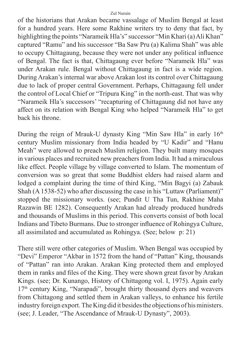of the historians that Arakan became vassalage of Muslim Bengal at least for a hundred years. Here some Rakhine writers try to deny that fact, by highlighting the points "Narameik Hla's" successor "Min Khari (a) Ali Khan" captured "Ramu" and his successor "Ba Saw Pru (a) Kalima Shah" was able to occupy Chittagaung, because they were not under any political influence of Bengal. The fact is that, Chittagaung ever before "Narameik Hla" was under Arakan rule. Bengal without Chittagaung in fact is a wide region. During Arakan's internal war above Arakan lost its control over Chittagaung due to lack of proper central Government. Perhaps, Chittagaung fell under the control of Local Chief or "Tripura King" in the north-east. That was why "Narameik Hla's successors' "recapturing of Chittagaung did not have any affect on its relation with Bengal King who helped "Narameik Hla" to get back his throne.

During the reign of Mrauk-U dynasty King "Min Saw Hla" in early 16<sup>th</sup> century Muslim missionary from India headed by "U Kadir" and "Hanu Meah" were allowed to preach Muslim religion. They built many mosques in various places and recruited new preachers from India. It had a miraculous like effect. People village by village converted to Islam. The momentum of conversion was so great that some Buddhist elders had raised alarm and lodged a complaint during the time of third King, "Min Bagyi (a) Zabauk Shah (A 1538-52) who after discussing the case in his "Luttaw (Parliament)" stopped the missionary works. (see; Pundit U Tha Tun, Rakhine Maha Razawin BE 1282). Consequently Arakan had already produced hundreds and thousands of Muslims in this period. This converts consist of both local Indians and Tibeto Burmans. Due to stronger influence of Rohingya Culture, all assimilated and accumulated as Rohingya. (See; below p: 21)

There still were other categories of Muslim. When Bengal was occupied by "Devi" Emperor "Akbar in 1572 from the hand of "Pattan" King, thousands of "Pattan" ran into Arakan. Arakan King protected them and employed them in ranks and files of the King. They were shown great favor by Arakan Kings. (see; Dr. Kunango, History of Chittagong vol. I, 1975). Again early 17<sup>th</sup> century King, "Narapadi", brought thirty thousand dyers and weavers from Chittagong and settled them in Arakan valleys, to enhance his fertile industry foreign export. The King did it besides the objections of his ministers. (see; J. Leader, "The Ascendance of Mrauk-U Dynasty", 2003).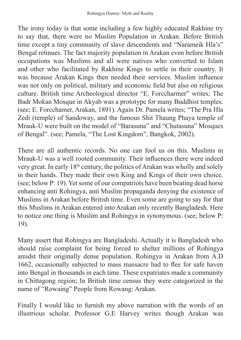The irony today is that some including a few highly educated Rakhine try to say that, there were no Muslim Population in Arakan. Before British time except a tiny community of slave descendents and "Narameik Hla's" Bengal retinues. The fact majority population in Arakan even before British occupations was Muslims and all were natives who converted to Islam and other who facilitated by Rakhine Kings to settle in their country. It was because Arakan Kings then needed their services. Muslim influence was not only on political, military and economic field but also on religious culture. British time Archeological director "E. Forccharmer" writes; The Badr Mokan Mosque in Akyab was a prototype for many Buddhist temples. (see; E. Forcchamer, Arakan, 1891). Again Dr. Pamela writes; "The Pra Hla Zedi (temple) of Sandoway, and the famous Shit Thaung Phaya temple of Mrauk-U were built on the model of "Barasuna" and "Chutasuna" Mosques of Bengal". (see; Pamela, "The Lost Kingdom", Bangkok, 2002).

There are all authentic records. No one can fool us on this. Muslims in Mrauk-U was a well rooted community. Their influences there were indeed very great. In early 18th century, the politics of Arakan was wholly and solely in their hands. They made their own King and Kings of their own choice. (see; below P: 19). Yet some of our compatriots have been beating dead horse enhancing anti Rohingya, anti Muslim propaganda denying the existence of Muslims in Arakan before British time. Even some are going to say for that this Muslims in Arakan entered into Arakan only recently Bangladesh. Here to notice one thing is Muslim and Rohingya in synonymous. (see; below P: 19).

Many assert that Rohingya are Bangladeshi. Actually it is Bangladesh who should raise complaint for being forced to shelter millions of Rohingya amidst their originally dense population. Rohingya in Arakan from A.D 1662, occasionally subjected to mass massacre had to flee for safe haven into Bengal in thousands in each time. These expatriates made a community in Chittagong region; In British time census they were categorized in the name of "Rowaing" People from Rowang: Arakan.

Finally I would like to furnish my above narration with the words of an illustrious scholar. Professor G.E Harvey writes though Arakan was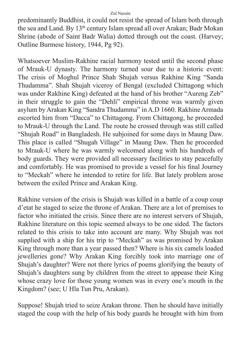predominantly Buddhist, it could not resist the spread of Islam both through the sea and Land. By 13<sup>th</sup> century Islam spread all over Arakan; Badr Mokan Shrine (abode of Saint Badr Walia) dotted through out the coast. (Harvey; Outline Burmese history, 1944, Pg 92).

Whatsoever Muslim-Rakhine racial harmony tested until the second phase of Mrauk-U dynasty. The harmony turned sour due to a historic event: The crisis of Moghul Prince Shah Shujah versus Rakhine King "Sanda Thudamma". Shah Shujah viceroy of Bengal (excluded Chittagong which was under Rakhine King) defeated at the hand of his brother "Aureng Zeb" in their struggle to gain the "Dehli" empirical throne was warmly given asylum by Arakan King "Sandra Thudamma" in A.D 1660. Rakhine Armada escorted him from "Dacca" to Chittagong. From Chittagong, he proceeded to Mrauk-U through the Land. The route he crossed through was still called "Shujah Road" in Bangladesh. He subjoined for some days in Maung Daw. This place is called "Shugah Village" in Maung Daw. Then he proceeded to Mrauk-U where he was warmly welcomed along with his hundreds of body guards. They were provided all necessary facilities to stay peacefully and comfortably. He was promised to provide a vessel for his final Journey to "Meckah" where he intended to retire for life. But lately problem arose between the exiled Prince and Arakan King.

Rakhine version of the crisis is Shujah was killed in a battle of a coup coup d'etat he staged to seize the throne of Arakan. There are a lot of premises to factor who initiated the crisis. Since there are no interest servers of Shujah, Rakhine literature on this topic seemed always to be one sided. The factors related to this crisis to take into account are many. Why Shujah was not supplied with a ship for his trip to "Meckah" as was promised by Arakan King through more than a year passed then? Where is his six camels loaded jewelleries gone? Why Arakan King forcibly took into marriage one of Shujah's daughter? Were not there lyrics of poems glorifying the beauty of Shujah's daughters sung by children from the street to appease their King whose crazy love for those young women was in every one's mouth in the Kingdom? (see; U Hla Tun Pru, Arakan).

Suppose! Shujah tried to seize Arakan throne. Then he should have initially staged the coup with the help of his body guards he brought with him from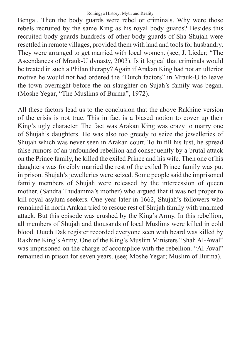Bengal. Then the body guards were rebel or criminals. Why were those rebels recruited by the same King as his royal body guards? Besides this recruited body guards hundreds of other body guards of Sha Shujah were resettled in remote villages, provided them with land and tools for husbandry. They were arranged to get married with local women. (see; J. Lieder; "The Ascendances of Mrauk-U dynasty, 2003). Is it logical that criminals would be treated in such a Philan therapy? Again if Arakan King had not an ulterior motive he would not had ordered the "Dutch factors" in Mrauk-U to leave the town overnight before the on slaughter on Sujah's family was began. (Moshe Yegar, "The Muslims of Burma", 1972).

All these factors lead us to the conclusion that the above Rakhine version of the crisis is not true. This in fact is a biased notion to cover up their King's ugly character. The fact was Arakan King was crazy to marry one of Shujah's daughters. He was also too greedy to seize the jewelleries of Shujah which was never seen in Arakan court. To fulfill his lust, he spread false rumors of an unfounded rebellion and consequently by a brutal attack on the Prince family, he killed the exiled Prince and his wife. Then one of his daughters was forcibly married the rest of the exiled Prince family was put in prison. Shujah's jewelleries were seized. Some people said the imprisoned family members of Shujah were released by the intercession of queen mother. (Sandra Thudamma's mother) who argued that it was not proper to kill royal asylum seekers. One year later in 1662, Shujah's followers who remained in north Arakan tried to rescue rest of Shujah family with unarmed attack. But this episode was crushed by the King's Army. In this rebellion, all members of Shujah and thousands of local Muslims were killed in cold blood. Dutch Dak register recorded everyone seen with beard was killed by Rakhine King's Army. One of the King's Muslim Ministers "Shah Al-Awal" was imprisoned on the charge of accomplice with the rebellion. "Al-Awal" remained in prison for seven years. (see; Moshe Yegar; Muslim of Burma).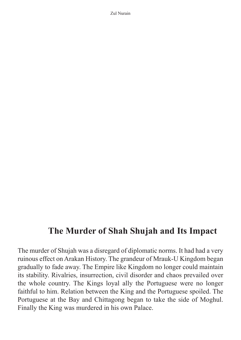### **The Murder of Shah Shujah and Its Impact**

The murder of Shujah was a disregard of diplomatic norms. It had had a very ruinous effect on Arakan History. The grandeur of Mrauk-U Kingdom began gradually to fade away. The Empire like Kingdom no longer could maintain its stability. Rivalries, insurrection, civil disorder and chaos prevailed over the whole country. The Kings loyal ally the Portuguese were no longer faithful to him. Relation between the King and the Portuguese spoiled. The Portuguese at the Bay and Chittagong began to take the side of Moghul. Finally the King was murdered in his own Palace.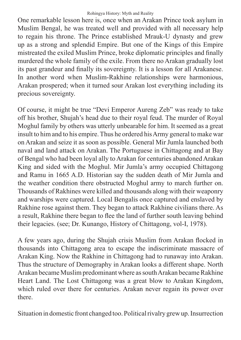One remarkable lesson here is, once when an Arakan Prince took asylum in Muslim Bengal, he was treated well and provided with all necessary help to regain his throne. The Prince established Mrauk-U dynasty and grew up as a strong and splendid Empire. But one of the Kings of this Empire mistreated the exiled Muslim Prince, broke diplomatic principles and finally murdered the whole family of the exile. From there no Arakan gradually lost its past grandeur and finally its sovereignty. It is a lesson for all Arakanese. In another word when Muslim-Rakhine relationships were harmonious, Arakan prospered; when it turned sour Arakan lost everything including its precious sovereignty.

Of course, it might be true "Devi Emperor Aureng Zeb" was ready to take off his brother, Shujah's head due to their royal feud. The murder of Royal Moghul family by others was utterly unbearable for him. It seemed as a great insult to him and to his empire. Thus he ordered his Army general to make war on Arakan and seize it as soon as possible. General Mir Jumla launched both naval and land attack on Arakan. The Portuguese in Chittagong and at Bay of Bengal who had been loyal ally to Arakan for centuries abandoned Arakan King and sided with the Moghul. Mir Jumla's army occupied Chittagong and Ramu in 1665 A.D. Historian say the sudden death of Mir Jumla and the weather condition there obstructed Moghul army to march further on. Thousands of Rakhines were killed and thousands along with their weaponry and warships were captured. Local Bengalis once captured and enslaved by Rakhine rose against them. They began to attack Rakhine civilians there. As a result, Rakhine there began to flee the land of further south leaving behind their legacies. (see; Dr. Kunango, History of Chittagong, vol-I, 1978).

A few years ago, during the Shujah crisis Muslim from Arakan flocked in thousands into Chittagong area to escape the indiscriminate massacre of Arakan King. Now the Rakhine in Chittagong had to runaway into Arakan. Thus the structure of Demography in Arakan looks a different shape. North Arakan became Muslim predominant where as south Arakan became Rakhine Heart Land. The Lost Chittagong was a great blow to Arakan Kingdom, which ruled over there for centuries. Arakan never regain its power over there.

Situation in domestic front changed too. Political rivalry grew up. Insurrection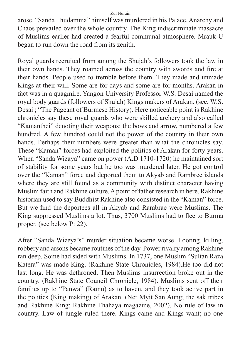arose. "Sanda Thudamma" himself was murdered in his Palace. Anarchy and Chaos prevailed over the whole country. The King indiscriminate massacre of Muslims earlier had created a fearful communal atmosphere. Mrauk-U began to run down the road from its zenith.

Royal guards recruited from among the Shujah's followers took the law in their own hands. They roamed across the country with swords and fire at their hands. People used to tremble before them. They made and unmade Kings at their will. Some are for days and some are for months. Arakan in fact was in a quagmire. Yangon University Professor W.S. Desai named the royal body guards (followers of Shujah) Kings makers of Arakan. (see; W.S. Desai ; "The Pageant of Burmese History). Here noticeable point is Rakhine chronicles say these royal guards who were skilled archery and also called "Kamanthei" denoting their weapons: the bows and arrow, numbered a few hundred. A few hundred could not the power of the country in their own hands. Perhaps their numbers were greater than what the chronicles say. These "Kaman" forces had exploited the politics of Arakan for forty years. When "Sanda Wizaya" came on power (A.D 1710-1720) he maintained sort of stability for some years but he too was murdered later. He got control over the "Kaman" force and deported them to Akyab and Rambree islands where they are still found as a community with distinct character having Muslim faith and Rakhine culture. A point of father research in here. Rakhine historian used to say Buddhist Rakhine also consisted in the "Kaman" force. But we find the deportees all in Akyab and Rambrae were Muslims. The King suppressed Muslims a lot. Thus, 3700 Muslims had to flee to Burma proper. (see below P: 22).

After "Sanda Wizeya's" murder situation became worse. Looting, killing, robbery and arsons became routines of the day. Power rivalry among Rakhine ran deep. Some had sided with Muslims. In 1737, one Muslim "Sultan Raza Katera" was made King. (Rakhine State Chronicles, 1984).He too did not last long. He was dethroned. Then Muslims insurrection broke out in the country. (Rakhine State Council Chronicle, 1984). Muslims sent off their families up to "Panwa" (Ramu) as to haven, and they took active part in the politics (King making) of Arakan. (Net Myit San Aung; the sak tribes and Rakhine King; Rakhine Thahaya magazine, 2002). No rule of law in country. Law of jungle ruled there. Kings came and Kings want; no one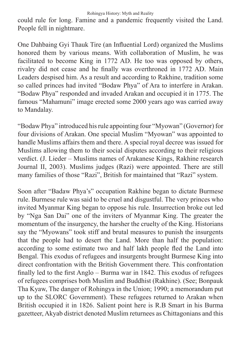could rule for long. Famine and a pandemic frequently visited the Land. People fell in nightmare.

One Dahbaing Gyi Thauk Tire (an Influential Lord) organized the Muslims honored them by various means. With collaboration of Muslim, he was facilitated to become King in 1772 AD. He too was opposed by others, rivalry did not cease and he finally was overthroned in 1772 AD. Main Leaders despised him. As a result and according to Rakhine, tradition some so called princes had invited "Bodaw Phya" of Ara to interfere in Arakan. "Bodaw Phya" responded and invaded Arakan and occupied it in 1775. The famous "Mahamuni" image erected some 2000 years ago was carried away to Mandalay.

"Bodaw Phya" introduced his rule appointing four "Myowan" (Governor) for four divisions of Arakan. One special Muslim "Myowan" was appointed to handle Muslims affairs them and there. A special royal decree was issued for Muslims allowing them to their social disputes according to their religious verdict. (J. Lieder – Muslims names of Arakanese Kings, Rakhine research Journal II, 2003). Muslims judges (Razi) were appointed. There are still many families of those "Razi", British for maintained that "Razi" system.

Soon after "Badaw Phya's" occupation Rakhine began to dictate Burmese rule. Burmese rule was said to be cruel and disgustful. The very princes who invited Myanmar King began to oppose his rule. Insurrection broke out led by "Nga San Dai" one of the inviters of Myanmar King. The greater the momentum of the insurgency, the harsher the cruelty of the King. Historians say the "Myowans" took stiff and brutal measures to punish the insurgents that the people had to desert the Land. More than half the population: according to some estimate two and half lakh people fled the Land into Bengal. This exodus of refugees and insurgents brought Burmese King into direct confrontation with the British Government there. This confrontation finally led to the first Anglo – Burma war in 1842. This exodus of refugees of refugees comprises both Muslim and Buddhist (Rakhine). (See; Bonpauk Tha Kyaw, The danger of Rohingya in the Union; 1990; a memorandum put up to the SLORC Government). These refugees returned to Arakan when British occupied it in 1826. Salient point here is R.B Smart in his Burma gazetteer, Akyab district denoted Muslim returnees as Chittagonians and this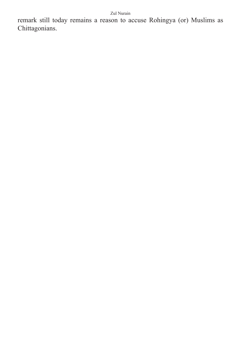remark still today remains a reason to accuse Rohingya (or) Muslims as Chittagonians.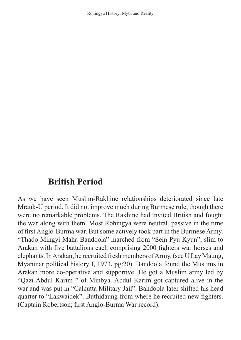## **British Period**

As we have seen Muslim-Rakhine relationships deteriorated since late Mrauk-U period. It did not improve much during Burmese rule, though there were no remarkable problems. The Rakhine had invited British and fought the war along with them. Most Rohingya were neutral, passive in the time of first Anglo-Burma war. But some actively took part in the Burmese Army. "Thado Mingyi Maha Bandoola" marched from "Sein Pyu Kyun", slim to Arakan with five battalions each comprising 2000 fighters war horses and elephants. In Arakan, he recruited fresh members of Army. (see U Lay Maung, Myanmar political history I, 1973, pg:20). Bandoola found the Muslims in Arakan more co-operative and supportive. He got a Muslim army led by "Qazi Abdul Karim " of Minbya. Abdul Karim got captured alive in the war and was put in "Calcutta Military Jail". Bandoola later shifted his head quarter to "Lakwaidek". Buthidaung from where he recruited new fighters. (Captain Robertson; first Anglo-Burma War record).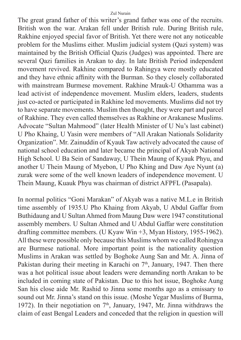The great grand father of this writer's grand father was one of the recruits. British won the war. Arakan fell under British rule. During British rule, Rakhine enjoyed special favor of British. Yet there were not any noticeable problem for the Muslims either. Muslim judicial system (Qazi system) was maintained by the British Official Qazis (Judges) was appointed. There are several Qazi families in Arakan to day. In late British Period independent movement revived. Rakhine compared to Rahingya were mostly educated and they have ethnic affinity with the Burman. So they closely collaborated with mainstream Burmese movement. Rakhine Mrauk-U Othamma was a lead activist of independence movement. Muslim elders, leaders, students just co-acted or participated in Rakhine led movements. Muslims did not try to have separate movements. Muslim then thought, they were part and parcel of Rakhine. They even called themselves as Rakhine or Arakanese Muslims. Advocate "Sultan Mahmood" (later Health Minister of U Nu's last cabinet) U Pho Khaing, U Yasin were members of "All Arakan Nationals Solidarity Organization". Mr. Zainuddin of Kyauk Taw actively advocated the cause of national school education and later became the principal of Akyab National High School. U Ba Sein of Sandaway, U Thein Maung of Kyauk Phyu, and another U Thein Maung of Myebon, U Pho Khing and Daw Aye Nyunt (a) zurak were some of the well known leaders of independence movement. U Thein Maung, Kuauk Phyu was chairman of district AFPFL (Pasapala).

In normal politics "Goni Marakan" of Akyab was a native M.L.e in British time assembly of 1935.U Pho Khaing from Akyab, U Abdul Gaffar from Buthidaung and U Sultan Ahmed from Maung Daw were 1947 constitutional assembly members. U Sultan Ahmed and U Abdul Gaffar were constitution drafting committee members. (U Kyaw Win +3, Myan History, 1955-1962). All these were possible only because this Muslims whom we called Rohingya are Burmese national. More important point is the nationality question Muslims in Arakan was settled by Boghoke Aung San and Mr. A. Jinna of Pakistan during their meeting in Karachi on  $7<sup>th</sup>$ , January, 1947. Then there was a hot political issue about leaders were demanding north Arakan to be included in coming state of Pakistan. Due to this hot issue, Boghoke Aung San his close aide Mr. Rashid to Jinna some months ago as a emissary to sound out Mr. Jinna's stand on this issue. (Moshe Yegar Muslims of Burma, 1972). In their negotiation on  $7<sup>th</sup>$ , January, 1947, Mr. Jinna withdraws the claim of east Bengal Leaders and conceded that the religion in question will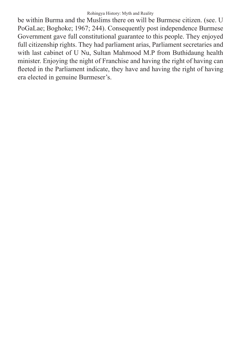be within Burma and the Muslims there on will be Burmese citizen. (see. U PoGaLae; Boghoke; 1967; 244). Consequently post independence Burmese Government gave full constitutional guarantee to this people. They enjoyed full citizenship rights. They had parliament arias, Parliament secretaries and with last cabinet of U Nu, Sultan Mahmood M.P from Buthidaung health minister. Enjoying the night of Franchise and having the right of having can fleeted in the Parliament indicate, they have and having the right of having era elected in genuine Burmeser's.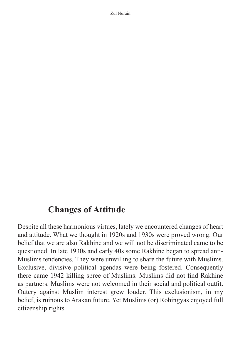## **Changes of Attitude**

Despite all these harmonious virtues, lately we encountered changes of heart and attitude. What we thought in 1920s and 1930s were proved wrong. Our belief that we are also Rakhine and we will not be discriminated came to be questioned. In late 1930s and early 40s some Rakhine began to spread anti-Muslims tendencies. They were unwilling to share the future with Muslims. Exclusive, divisive political agendas were being fostered. Consequently there came 1942 killing spree of Muslims. Muslims did not find Rakhine as partners. Muslims were not welcomed in their social and political outfit. Outcry against Muslim interest grew louder. This exclusionism, in my belief, is ruinous to Arakan future. Yet Muslims (or) Rohingyas enjoyed full citizenship rights.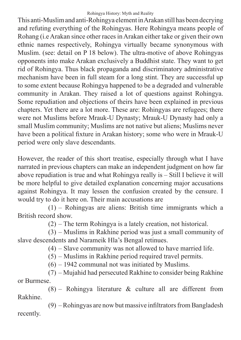This anti-Muslim and anti-Rohingya element in Arakan still has been decrying and refuting everything of the Rohingyas. Here Rohingya means people of Rohang (i.e Arakan since other races in Arakan either take or given their own ethnic names respectively, Rohingya virtually became synonymous with Muslim. (see: detail on P 18 below). The ultra-motive of above Rohingyas opponents into make Arakan exclusively a Buddhist state. They want to get rid of Rohingya. Thus black propaganda and discriminatory administrative mechanism have been in full steam for a long stint. They are successful up to some extent because Rohingya happened to be a degraded and vulnerable community in Arakan. They raised a lot of questions against Rohingya. Some repudiation and objections of theirs have been explained in previous chapters. Yet there are a lot more. These are: Rohingyas are refugees; there were not Muslims before Mrauk-U Dynasty; Mrauk-U Dynasty had only a small Muslim community; Muslims are not native but aliens; Muslims never have been a political fixture in Arakan history; some who were in Mrauk-U period were only slave descendants.

However, the reader of this short treatise, especially through what I have narrated in previous chapters can make an independent judgment on how far above repudiation is true and what Rohingya really is – Still I believe it will be more helpful to give detailed explanation concerning major accusations against Rohingya. It may lessen the confusion created by the censure. I would try to do it here on. Their main accusations are

(1) – Rohingyas are aliens: British time immigrants which a British record show.

(2) – The term Rohingya is a lately creation, not historical.

(3) – Muslims in Rakhine period was just a small community of slave descendents and Narameik Hla's Bengal retinues.

(4) – Slave community was not allowed to have married life.

(5) – Muslims in Rakhine period required travel permits.

(6) – 1942 communal not was initiated by Muslims.

(7) – Mujahid had persecuted Rakhine to consider being Rakhine or Burmese.

 $(8)$  – Rohingya literature & culture all are different from Rakhine.

(9) – Rohingyas are now but massive infiltrators from Bangladesh recently.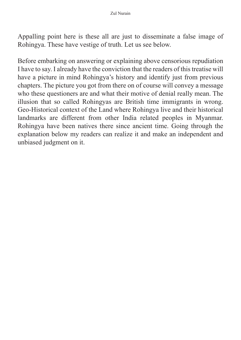Appalling point here is these all are just to disseminate a false image of Rohingya. These have vestige of truth. Let us see below.

Before embarking on answering or explaining above censorious repudiation I have to say. I already have the conviction that the readers of this treatise will have a picture in mind Rohingya's history and identify just from previous chapters. The picture you got from there on of course will convey a message who these questioners are and what their motive of denial really mean. The illusion that so called Rohingyas are British time immigrants in wrong. Geo-Historical context of the Land where Rohingya live and their historical landmarks are different from other India related peoples in Myanmar. Rohingya have been natives there since ancient time. Going through the explanation below my readers can realize it and make an independent and unbiased judgment on it.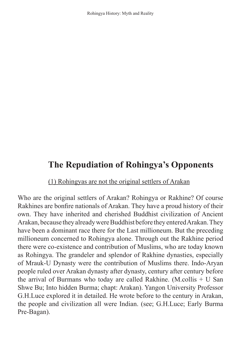Rohingya History: Myth and Reality

# **The Repudiation of Rohingya's Opponents**

### (1) Rohingyas are not the original settlers of Arakan

Who are the original settlers of Arakan? Rohingya or Rakhine? Of course Rakhines are bonfire nationals of Arakan. They have a proud history of their own. They have inherited and cherished Buddhist civilization of Ancient Arakan, because they already were Buddhist before they entered Arakan. They have been a dominant race there for the Last millioneum. But the preceding millioneum concerned to Rohingya alone. Through out the Rakhine period there were co-existence and contribution of Muslims, who are today known as Rohingya. The grandeler and splendor of Rakhine dynasties, especially of Mrauk-U Dynasty were the contribution of Muslims there. Indo-Aryan people ruled over Arakan dynasty after dynasty, century after century before the arrival of Burmans who today are called Rakhine. (M.collis + U San Shwe Bu; Into hidden Burma; chapt: Arakan). Yangon University Professor G.H.Luce explored it in detailed. He wrote before to the century in Arakan, the people and civilization all were Indian. (see; G.H.Luce; Early Burma Pre-Bagan).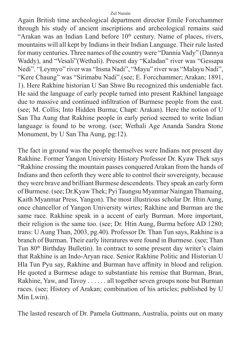Again British time archeological department director Emile Forcchammer through his study of ancient inscriptions and archeological remains said "Arakan was an Indian Land before  $10<sup>th</sup>$  century. Name of places, rivers, mountains will all kept by Indians in their Indian Language. Their rule lasted for many centuries. Three names of the country were "Dannia Vady" (Dannya Waddy), and "Vesali"(Wethali). Present day "Kaladan" river was "Gessapa Nedi". "Leymyo" river was "Insna Nadi", "Mayu" river was "Malayu Nadi", "Kere Chaung" was "Sirimabu Nadi".(see; E. Forcchammer; Arakan; 1891, 1). Here Rakhine historian U San Shwe Bu recognized this undeniable fact. He said the language of early people turned into present Rakhinel language due to massive and continued infiltration of Burmese people from the east. (see; M. Collis; Into Hidden Burma; Chapt: Arakan). Here the notion of U San Tha Aung that Rakhine people in early period seemed to write Indian language is found to be wrong. (see; Wethali Age Ananda Sandra Stone Monument, by U San Tha Aung, pg:12).

The fact in ground was the people themselves were Indians not present day Rakhine. Former Yangon University History Professor Dr. Kyaw Thek says "Rakhine crossing the mountain passes conquered Arakan from the hands of Indians and then ceforth they were able to control their sovereignty, because they were brave and brilliant Burmese descendents. They speak an early form of Burmese. (see; Dr.Kyaw Thek; Pyi Taungsu Myanmar Naingan Thamaing, Kaith Myanmar Press, Yangon). The most illustrious scholar Dr. Htin Aung, once chancellor of Yangon University wirtes; Rakhine and Burman are the same race. Rakhine speak in a accent of early Burman. More important, their religion is the same too. (see; Dr. Htin Aung, Burma before AD 1280; trans: U Aung Than, 2003, pg.40). Professor Dr. Than Tun says, Rakhine is a branch of Burman. Their early literatures were found in Burmese. (see; Than Tun 80th Birthday Bulletin). In contract to some present day writer's claim that Rakhine is an Indo-Aryan race. Senior Rakhine Politic and Historian U Hla Tun Pyu say, Rakhine and Burman have affinity in blood and religion. He quoted a Burmese adage to substantiate his remise that Burman, Bran, Rakhine, Yaw, and Tavoy . . . . . . all together seven groups none but Burman races. (see; History of Arakan; combination of his articles; published by U Min Lwin).

The lasted research of Dr. Pamela Guttmann, Australia, points out on many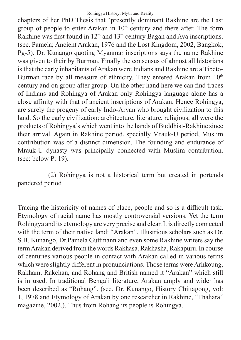chapters of her PhD Thesis that "presently dominant Rakhine are the Last group of people to enter Arakan in  $10<sup>th</sup>$  century and there after. The form Rakhine was first found in  $12<sup>th</sup>$  and  $13<sup>th</sup>$  century Bagan and Ava inscriptions. (see. Pamela; Ancient Arakan, 1976 and the Lost Kingdom, 2002, Bangkok, Pg-5). Dr. Kunango quoting Myanmar inscriptions says the name Rakhine was given to their by Burman. Finally the consensus of almost all historians is that the early inhabitants of Arakan were Indians and Rakhine are a Tibeto-Burman race by all measure of ethnicity. They entered Arakan from 10<sup>th</sup> century and on group after group. On the other hand here we can find traces of Indians and Rohingya of Arakan only Rohingya language alone has a close affinity with that of ancient inscriptions of Arakan. Hence Rohingya, are surely the progeny of early Indo-Aryan who brought civilization to this land. So the early civilization: architecture, literature, religious, all were the products of Rohingya's which went into the hands of Buddhist-Rakhine since their arrival. Again in Rakhine period, specially Mrauk-U period, Muslim contribution was of a distinct dimension. The founding and endurance of Mrauk-U dynasty was principally connected with Muslim contribution. (see: below P: 19).

### (2) Rohingya is not a historical term but created in portends pandered period

Tracing the historicity of names of place, people and so is a difficult task. Etymology of racial name has mostly controversial versions. Yet the term Rohingya and its etymology are very precise and clear. It is directly connected with the term of their native land: "Arakan". Illustrious scholars such as Dr. S.B. Kunango, Dr.Pamela Guttmann and even some Rakhine writers say the term Arakan derived from the words Rakhasa, Rakhasha, Rakapuru. In course of centuries various people in contact with Arakan called in various terms which were slightly different in pronunciations. Those terms were Arhkoung, Rakham, Rakchan, and Rohang and British named it "Arakan" which still is in used. In traditional Bengali literature, Arakan amply and wider has been described as "Rohang". (see. Dr. Kunango, History Chittagong, vol: 1, 1978 and Etymology of Arakan by one researcher in Rakhine, "Thahara" magazine, 2002.). Thus from Rohang its people is Rohingya.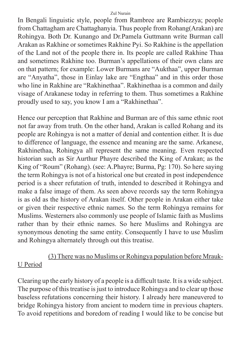In Bengali linguistic style, people from Rambree are Rambiezzya; people from Chattagham are Chattaghanyia. Thus people from Rohang(Arakan) are Rohingya. Both Dr. Kunango and Dr.Pamela Guttmann write Burman call Arakan as Rakhine or sometimes Rakhine Pyi. So Rakhine is the appellation of the Land not of the people there in. Its people are called Rakhine Thaa and sometimes Rakhine too. Burman's appellations of their own clans are on that pattern; for example: Lower Burmans are "Aukthaa", upper Burman are "Anyatha", those in Einlay lake are "Engthaa" and in this order those who line in Rakhine are "Rakhinethaa". Rakhinethaa is a common and daily visage of Arakanese today in referring to them. Thus sometimes a Rakhine proudly used to say, you know I am a "Rakhinethaa".

Hence our perception that Rakhine and Burman are of this same ethnic root not far away from truth. On the other hand, Arakan is called Rohang and its people are Rohingya is not a matter of denial and contention either. It is due to difference of language, the essence and meaning are the same. Arkanese, Rakhinethaa, Rohingya all represent the same meaning. Even respected historian such as Sir Aurthur Phayre described the King of Arakan; as the King of "Roum" (Rohang). (see: A.Phayre; Burma, Pg: 170). So here saying the term Rohingya is not of a historical one but created in post independence period is a sheer refutation of truth, intended to described it Rohingya and make a false image of them. As seen above records say the term Rohingya is as old as the history of Arakan itself. Other people in Arakan either take or given their respective ethnic names. So the term Rohingya remains for Muslims. Westerners also commonly use people of Islamic faith as Muslims rather than by their ethnic names. So here Muslims and Rohingya are synonymous denoting the same entity. Consequently I have to use Muslim and Rohingya alternately through out this treatise.

### (3) There was no Muslims or Rohingya population before Mrauk-U Period

Clearing up the early history of a people is a difficult taste. It is a wide subject. The purpose of this treatise is just to introduce Rohingya and to clear up those baseless refutations concerning their history. I already here maneuvered to bridge Rohingya history from ancient to modern time in previous chapters. To avoid repetitions and boredom of reading I would like to be concise but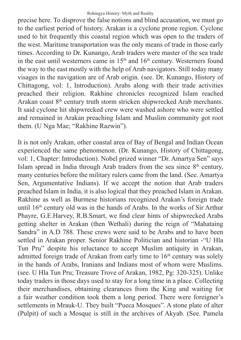precise here. To disprove the false notions and blind accusation, we must go to the earliest period of history. Arakan is a cyclone prone region. Cyclone used to hit frequently this coastal region which was open to the traders of the west. Maritime transportation was the only means of trade in those early times. According to Dr. Kunango, Arab traders were master of the sea trade in the east until westerners came in  $15<sup>th</sup>$  and  $16<sup>th</sup>$  century. Westerners found the way to the east mostly with the help of Arab navigators. Still today many visages in the navigation are of Arab origin. (see. Dr. Kunango, History of Chittagong, vol: 1, Introduction). Arabs along with their trade activities preached their religion. Rakhine chronicles recognized Islam reached Arakan coast 8th century truth storm stricken shipwrecked Arab merchants. It said cyclone hit shipwrecked crew were washed ashore who were settled and remained in Arakan preaching Islam and Muslim community got root them. (U Nga Mae; "Rakhine Razwin").

It is not only Arakan, other coastal area of Bay of Bengal and Indian Ocean experienced the same phenomenon. (Dr. Kunango, History of Chittagong, vol: 1, Chapter: Introduction). Nobel prized winner "Dr. Amartya Sen" says Islam spread in India through Arab traders from the sea since  $8<sup>th</sup>$  century, many centuries before the military rulers came from the land. (See. Amartya Sen, Argumentative Indians). If we accept the notion that Arab traders preached Islam in India, it is also logical that they preached Islam in Arakan. Rakhine as well as Burmese historians recognized Arakan's foreign trade until 16<sup>th</sup> century old was in the hands of Arabs. In the works of Sir Arthur Phayre, G.E.Harvey, R.B.Smart, we find clear hints of shipwrecked Arabs getting shelter in Arakan (then Wethali) during the reign of "Mahataing Sandra" in A.D 788. These crews were said to be Arabs and to have been settled in Arakan proper. Senior Rakhine Politician and historian -"U Hla Tun Pru" despite his reluctance to accept Muslim antiquity in Arakan, admitted foreign trade of Arakan from early time to  $16<sup>th</sup>$  century was solely in the hands of Arabs, Iranians and Indians most of whom were Muslims. (see. U Hla Tun Pru; Treasure Trove of Arakan, 1982, Pg: 320-325). Unlike today traders in those days used to stay for a long time in a place. Collecting their merchandises, obtaining clearances from the King and waiting for a fair weather condition took them a long period. There were foreigner's settlements in Mrauk-U. They built "Pueca Mosques". A stone plate of alter (Pulpit) of such a Mosque is still in the archives of Akyab. (See. Pamela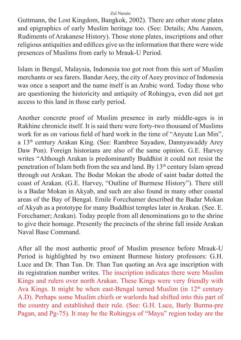Guttmann, the Lost Kingdom, Bangkok, 2002). There are other stone plates and epigraphics of early Muslim heritage too. (See: Details; Abu Aaneen, Rudiments of Arakanese History). Those stone plates, inscriptions and other religious antiquities and edifices give us the information that there were wide presences of Muslims from early to Mrauk-U Period.

Islam in Bengal, Malaysia, Indonesia too got root from this sort of Muslim merchants or sea farers. Bandar Aeey, the city of Aeey province of Indonesia was once a seaport and the name itself is an Arabic word. Today those who are questioning the historicity and antiquity of Rohingya, even did not get access to this land in those early period.

Another concrete proof of Muslim presence in early middle-ages is in Rakhine chronicle itself. It is said there were forty-two thousand of Muslims work for as on various field of hard work in the time of "Anyute Lun Min", a 13th century Arakan King. (See: Rambree Sayadaw, Dannyawaddy Arey Daw Pon). Foreign historians are also of the same opinion. G.E. Harvey writes "Although Arakan is predominantly Buddhist it could not resist the penetration of Islam both from the sea and land. By 13th century Islam spread through out Arakan. The Bodar Mokan the abode of saint badar dotted the coast of Arakan. (G.E. Harvey, "Outline of Burmese History"). There still is a Badar Mokan in Akyab, and such are also found in many other coastal areas of the Bay of Bengal. Emile Forcchamer described the Badar Mokan of Akyab as a prototype for many Buddhist temples later in Arakan. (See. E. Forcchamer; Arakan). Today people from all denominations go to the shrine to give their homage. Presently the precincts of the shrine fall inside Arakan Naval Base Command.

After all the most authentic proof of Muslim presence before Mrauk-U Period is highlighted by two eminent Burmese history professors: G.H. Luce and Dr. Than Tun. Dr. Than Tun quoting an Ava age inscription with its registration number writes. The inscription indicates there were Muslim Kings and rulers over north Arakan. These Kings were very friendly with Ava Kings. It might be when east-Bengal turned Muslim (in  $12<sup>th</sup>$  century A.D). Perhaps some Muslim chiefs or warlords had shifted into this part of the country and established their rule. (See: G.H. Luce, Barly Burma-pre Pagan, and Pg-75). It may be the Rohingya of "Mayu" region today are the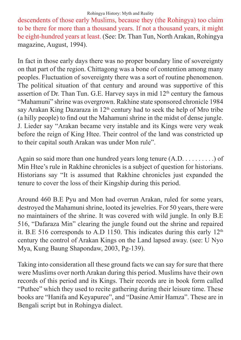descendents of those early Muslims, because they (the Rohingya) too claim to be there for more than a thousand years. If not a thousand years, it might be eight-hundred years at least. (See: Dr. Than Tun, North Arakan, Rohingya magazine, August, 1994).

In fact in those early days there was no proper boundary line of sovereignty on that part of the region. Chittagong was a bone of contention among many peoples. Fluctuation of sovereignty there was a sort of routine phenomenon. The political situation of that century and around was supportive of this assertion of Dr. Than Tun. G.E. Harvey says in mid  $12<sup>th</sup>$  century the famous "Mahamuni" shrine was overgrown. Rakhine state sponsored chronicle 1984 say Arakan King Dazaraza in 12<sup>th</sup> century had to seek the help of Mro tribe (a hilly people) to find out the Mahamuni shrine in the midst of dense jungle. J. Lieder say "Arakan became very instable and its Kings were very weak before the reign of King Htee. Their control of the land was constricted up to their capital south Arakan was under Mon rule".

Again so said more than one hundred years long tenure  $(A, D, \ldots, \ldots)$  of Min Htee's rule in Rakhine chronicles is a subject of question for historians. Historians say "It is assumed that Rakhine chronicles just expanded the tenure to cover the loss of their Kingship during this period.

Around 460 B.E Pyu and Mon had overrun Arakan, ruled for some years, destroyed the Mahamuni shrine, looted its jewelries. For 50 years, there were no maintainers of the shrine. It was covered with wild jungle. In only B.E 516, "Dafaraza Min" clearing the jungle found out the shrine and repaired it. B.E 516 corresponds to A.D 1150. This indicates during this early  $12<sup>th</sup>$ century the control of Arakan Kings on the Land lapsed away. (see: U Nyo Mya, Kung Baung Shapondaw, 2003, Pg-139).

Taking into consideration all these ground facts we can say for sure that there were Muslims over north Arakan during this period. Muslims have their own records of this period and its Kings. Their records are in book form called "Puthee" which they used to recite gathering during their leisure time. These books are "Hanifa and Keyapuree", and "Dasine Amir Hamza". These are in Bengali script but in Rohingya dialect.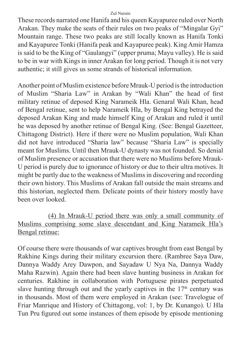These records narrated one Hanifa and his queen Kayapuree ruled over North Arakan. They make the seats of their rules on two peaks of "Mingalar Gyi" Mountain range. These two peaks are still locally known as Hanifa Tonki and Kayapuree Tonki (Hanifa peak and Kayapuree peak). King Amir Hamza is said to be the King of "Gaulangyi" (upper pruma; Mayu valley). He is said to be in war with Kings in inner Arakan for long period. Though it is not very authentic; it still gives us some strands of historical information.

Another point of Muslim existence before Mrauk-U period is the introduction of Muslim "Sharia Law" in Arakan by "Wali Khan" the head of first military retinue of deposed King Narameik Hla. Genaral Wali Khan, head of Bengal retinue, sent to help Narameik Hla, by Bengal King betrayed the deposed Arakan King and made himself King of Arakan and ruled it until he was deposed by another retinue of Bengal King. (See: Bengal Gazetteer, Chittagong District). Here if there were no Muslim population, Wali Khan did not have introduced "Sharia law" because "Sharia Law" is specially meant for Muslims. Until then Mrauk-U dynasty was not founded. So denial of Muslim presence or accusation that there were no Muslims before Mrauk-U period is purely due to ignorance of history or due to their ultra motives. It might be partly due to the weakness of Muslims in discovering and recording their own history. This Muslims of Arakan fall outside the main streams and this historian, neglected them. Delicate points of their history mostly have been over looked.

### (4) In Mrauk-U period there was only a small community of Muslims comprising some slave descendant and King Narameik Hla's Bengal retinue:

Of course there were thousands of war captives brought from east Bengal by Rakhine Kings during their military excursion there. (Rambree Saya Daw, Dannya Waddy Arey Dawpon, and Sayadaw U Nya Na, Dannya Waddy Maha Razwin). Again there had been slave hunting business in Arakan for centuries. Rakhine in collaboration with Portuguese pirates perpetuated slave hunting through out and the yearly captives in the  $17<sup>th</sup>$  century was in thousands. Most of them were employed in Arakan (see: Travelogue of Friar Manrique and History of Chittagong, vol: 1, by Dr. Kunango). U Hla Tun Pru figured out some instances of them episode by episode mentioning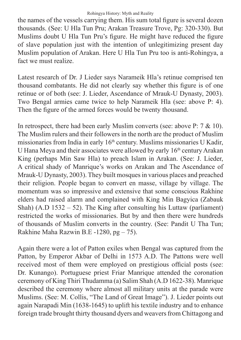the names of the vessels carrying them. His sum total figure is several dozen thousands. (See: U Hla Tun Pru; Arakan Treasure Trove, Pg: 320-330). But Muslims doubt U Hla Tun Pru's figure. He might have reduced the figure of slave population just with the intention of unlegitimizing present day Muslim population of Arakan. Here U Hla Tun Pru too is anti-Rohingya, a fact we must realize.

Latest research of Dr. J Lieder says Narameik Hla's retinue comprised ten thousand combatants. He did not clearly say whether this figure is of one retinue or of both (see: J. Lieder, Ascendance of Mrauk-U Dynasty, 2003). Two Bengal armies came twice to help Narameik Hla (see: above P: 4). Then the figure of the armed forces would be twenty thousand.

In retrospect, there had been early Muslim converts (see: above P: 7 & 10). The Muslim rulers and their followers in the north are the product of Muslim missionaries from India in early  $16<sup>th</sup>$  century. Muslims missionaries U Kadir, U Hana Meya and their associates were allowed by early  $16<sup>th</sup>$  century Arakan King (perhaps Min Saw Hla) to preach Islam in Arakan. (See: J. Lieder, A critical shady of Manrique's works on Arakan and The Ascendance of Mrauk-U Dynasty, 2003). They built mosques in various places and preached their religion. People began to convert en masse, village by village. The momentum was so impressive and extensive that some conscious Rakhine elders had raised alarm and complained with King Min Bagyica (Zabauk Shah)  $(A.D 1532 - 52)$ . The King after consulting his Luttaw (parliament) restricted the works of missionaries. But by and then there were hundreds of thousands of Muslim converts in the country. (See: Pandit U Tha Tun; Rakhine Maha Razwin B.E -1280, pg – 75).

Again there were a lot of Patton exiles when Bengal was captured from the Patton, by Emperor Akbar of Delhi in 1573 A.D. The Pattons were well received most of them were employed on prestigious official posts (see: Dr. Kunango). Portuguese priest Friar Manrique attended the coronation ceremony of King Thiri Thudamma (a) Salim Shah (A.D 1622-38). Manrique described the ceremony where almost all military units at the parade were Muslims. (See: M. Collis, "The Land of Great Image"). J. Lieder points out again Narapadi Min (1638-1645) to uplift his textile industry and to enhance foreign trade brought thirty thousand dyers and weavers from Chittagong and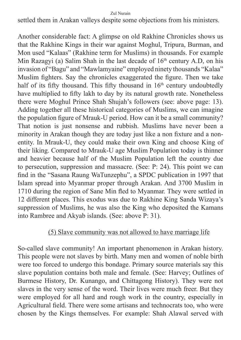settled them in Arakan valleys despite some objections from his ministers.

Another considerable fact: A glimpse on old Rakhine Chronicles shows us that the Rakhine Kings in their war against Moghul, Tripura, Burman, and Mon used "Kalaas" (Rakhine term for Muslims) in thousands. For example Min Razagyi (a) Salim Shah in the last decade of  $16<sup>th</sup>$  century A.D, on his invasion of "Bagu" and "Mawlamyaine" employed ninety thousands "Kalaa" Muslim fighters. Say the chronicles exaggerated the figure. Then we take half of its fifty thousand. This fifty thousand in  $16<sup>th</sup>$  century undoubtedly have multiplied to fifty lakh to day by its natural growth rate. Nonetheless there were Moghul Prince Shah Shujah's followers (see: above page: 13). Adding together all these historical categories of Muslims, we can imagine the population figure of Mrauk-U period. How can it be a small community? That notion is just nonsense and rubbish. Muslims have never been a minority in Arakan though they are today just like a non fixture and a nonentity. In Mrauk-U, they could make their own King and choose King of their liking. Compared to Mrauk-U age Muslim Population today is thinner and heavier because half of the Muslim Population left the country due to persecution, suppression and massacre. (See: P: 24). This point we can find in the "Sasana Raung WaTunzephu", a SPDC publication in 1997 that Islam spread into Myanmar proper through Arakan. And 3700 Muslim in 1710 during the region of Sane Min fled to Myanmar. They were settled in 12 different places. This exodus was due to Rakhine King Sanda Wizaya's suppression of Muslims, he was also the King who deposited the Kamans into Rambree and Akyab islands. (See: above P: 31).

### (5) Slave community was not allowed to have marriage life

So-called slave community! An important phenomenon in Arakan history. This people were not slaves by birth. Many men and women of noble birth were too forced to undergo this bondage. Primary source materials say this slave population contains both male and female. (See: Harvey; Outlines of Burmese History, Dr. Kunango, and Chittagong History). They were not slaves in the very sense of the word. Their lives were much freer. But they were employed for all hard and rough work in the country, especially in Agricultural field. There were some artisans and technocrats too, who were chosen by the Kings themselves. For example: Shah Alawal served with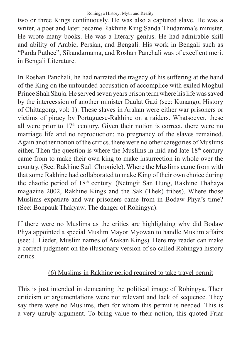two or three Kings continuously. He was also a captured slave. He was a writer, a poet and later became Rakhine King Sanda Thudamma's minister. He wrote many books. He was a literary genius. He had admirable skill and ability of Arabic, Persian, and Bengali. His work in Bengali such as "Parda Puthee", Sikandarnama, and Roshan Panchali was of excellent merit in Bengali Literature.

In Roshan Panchali, he had narrated the tragedy of his suffering at the hand of the King on the unfounded accusation of accomplice with exiled Moghul Prince Shah Shuja. He served seven years prison term where his life was saved by the intercession of another minister Daulat Gazi (see: Kunango, History of Chittagong, vol: 1). These slaves in Arakan were either war prisoners or victims of piracy by Portuguese-Rakhine on a raiders. Whatsoever, these all were prior to  $17<sup>th</sup>$  century. Given their notion is correct, there were no marriage life and no reproduction; no pregnancy of the slaves remained. Again another notion of the critics, there were no other categories of Muslims either. Then the question is where the Muslims in mid and late  $18<sup>th</sup>$  century came from to make their own king to make insurrection in whole over the country. (See: Rakhine Stali Chronicle). Where the Muslims came from with that some Rakhine had collaborated to make King of their own choice during the chaotic period of 18th century. (Netmgit San Hung, Rakhine Thahaya magazine 2002, Rakhine Kings and the Sak (Thek) tribes). Where those Muslims expatiate and war prisoners came from in Bodaw Phya's time? (See: Bonpauk Thakyaw, The danger of Rohingya).

If there were no Muslims as the critics are highlighting why did Bodaw Phya appointed a special Muslim Mayor Myowan to handle Muslim affairs (see: J. Lieder, Muslim names of Arakan Kings). Here my reader can make a correct judgment on the illusionary version of so called Rohingya history critics.

## (6) Muslims in Rakhine period required to take travel permit

This is just intended in demeaning the political image of Rohingya. Their criticism or argumentations were not relevant and lack of sequence. They say there were no Muslims, then for whom this permit is needed. This is a very unruly argument. To bring value to their notion, this quoted Friar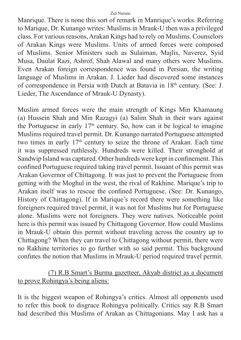Manrique. There is none this sort of remark in Manrique's works. Referring to Marique, Dr. Kunango writes: Muslims in Mrauk-U then was a privileged class. For various reasons, Arakan Kings had to rely on Muslims. Counselors of Arakan Kings were Muslims. Units of armed forces were composed of Muslims. Senior Ministers such as Sulaiman, Majlis, Naverez, Syid Musa, Daulat Razi, Ashrof, Shah Alawal and many others were Muslims. Even Arakan foreign correspondence was found in Persian, the writing language of Muslims in Arakan. J. Lieder had discovered some instances of correspondence in Persia with Dutch at Batavia in 18th century. (See: J. Lieder, The Ascendance of Mrauk-U Dynasty).

Muslim armed forces were the main strength of Kings Min Khamaung (a) Hussein Shah and Min Razagyi (a) Salim Shah in their wars against the Portuguese in early  $17<sup>th</sup>$  century. So, how can it be logical to imagine Muslims required travel permit. Dr. Kunango narrated Portuguese attempted two times in early 17<sup>th</sup> century to seize the throne of Arakan. Each time it was suppressed ruthlessly. Hundreds were killed. Their stronghold at Sandwip Island was captured. Other hundreds were kept in confinement. This confined Portuguese required taking travel permit. Issuant of this permit was Arakan Governor of Chittagong. It was just to prevent the Portuguese from getting with the Moghul in the west, the rival of Rakhine. Marique's trip to Arakan itself was to rescue the confined Portuguese. (See: Dr. Kunango, History of Chittagong). If in Marique's record there were something like foreigners required travel permit, it was not for Muslims but for Portuguese alone. Muslims were not foreigners. They were natives. Noticeable point here is this permit was issued by Chittagong Governor. How could Muslims in Mrauk-U obtain this permit without traveling across the country up to Chittagong? When they can travel to Chittagong without permit, there were no Rakhine territories to go further with so said permit. This background confutes the notion that Muslims in Mrauk-U period required travel permit.

(7) R.B Smart's Burma gazetteer, Akyab district as a document to prove Rohingya's being aliens:

It is the biggest weapon of Rohingya's critics. Almost all opponents used to refer this book to disgrace Rohingya politically. Critics say R.B Smart had described this Muslims of Arakan as Chittagonians. May I ask has a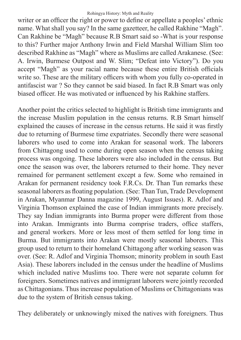writer or an officer the right or power to define or appellate a peoples' ethnic name. What shall you say? In the same gazetteer, he called Rakhine "Magh". Can Rakhine be "Magh" because R.B Smart said so -What is your response to this? Further major Anthony Irwin and Field Marshal William Slim too described Rakhine as "Magh" where as Muslims are called Arakanese. (See: A. Irwin, Burmese Outpost and W. Slim; "Defeat into Victory"). Do you accept "Magh" as your racial name because these entire British officials write so. These are the military officers with whom you fully co-operated in antifascist war ? So they cannot be said biased. In fact R.B Smart was only biased officer. He was motivated or influenced by his Rakhine staffers.

Another point the critics selected to highlight is British time immigrants and the increase Muslim population in the census returns. R.B Smart himself explained the causes of increase in the census returns. He said it was firstly due to returning of Burmese time expatriates. Secondly there were seasonal laborers who used to come into Arakan for seasonal work. The laborers from Chittagong used to come during open season when the census taking process was ongoing. These laborers were also included in the census. But once the season was over, the laborers returned to their home. They never remained for permanent settlement except a few. Some who remained in Arakan for permanent residency took F.R.Cs. Dr. Than Tun remarks these seasonal laborers as floating population. (See: Than Tun, Trade Development in Arakan, Myanmar Danna magazine 1999, August Issues). R. Adlof and Virginia Thomson explained the case of Indian immigrants more precisely. They say Indian immigrants into Burma proper were different from those into Arakan. Immigrants into Burma comprise traders, office staffers, and general workers. More or less most of them settled for long time in Burma. But immigrants into Arakan were mostly seasonal laborers. This group used to return to their homeland Chittagong after working season was over. (See: R. Adlof and Virginia Thomson; minority problem in south East Asia). These laborers included in the census under the headline of Muslims which included native Muslims too. There were not separate column for foreigners. Sometimes natives and immigrant laborers were jointly recorded as Chittagonians. Thus increase population of Muslims or Chittagonians was due to the system of British census taking.

They deliberately or unknowingly mixed the natives with foreigners. Thus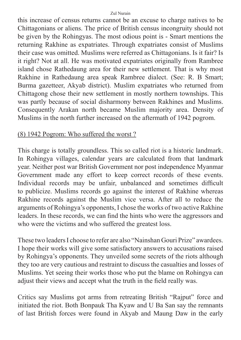this increase of census returns cannot be an excuse to charge natives to be Chittagonians or aliens. The price of British census incongruity should not be given by the Rohingyas. The most odious point is - Smart mentions the returning Rakhine as expatriates. Through expatriates consist of Muslims their case was omitted. Muslims were referred as Chittagonians. Is it fair? Is it right? Not at all. He was motivated expatriates originally from Rambree island chose Rathedaung area for their new settlement. That is why most Rakhine in Rathedaung area speak Rambree dialect. (See: R. B Smart; Burma gazetteer, Akyab district). Muslim expatriates who returned from Chittagong chose their new settlement in mostly northern townships. This was partly because of social disharmony between Rakhines and Muslims. Consequently Arakan north became Muslim majority area. Density of Muslims in the north further increased on the aftermath of 1942 pogrom.

### (8) 1942 Pogrom: Who suffered the worst ?

This charge is totally groundless. This so called riot is a historic landmark. In Rohingya villages, calendar years are calculated from that landmark year. Neither post war British Government nor post independence Myanmar Government made any effort to keep correct records of these events. Individual records may be unfair, unbalanced and sometimes difficult to publicize. Muslims records go against the interest of Rakhine whereas Rakhine records against the Muslim vice versa. After all to reduce the arguments of Rohingya's opponents, I chose the works of two active Rakhine leaders. In these records, we can find the hints who were the aggressors and who were the victims and who suffered the greatest loss.

These two leaders I choose to refer are also "Nainshan Gouri Prize" awardees. I hope their works will give some satisfactory answers to accusations raised by Rohingya's opponents. They unveiled some secrets of the riots although they too are very cautious and restraint to discuss the casualties and losses of Muslims. Yet seeing their works those who put the blame on Rohingya can adjust their views and accept what the truth in the field really was.

Critics say Muslims got arms from retreating British "Rajput" force and initiated the riot. Both Bonpauk Tha Kyaw and U Ba San say the remnants of last British forces were found in Akyab and Maung Daw in the early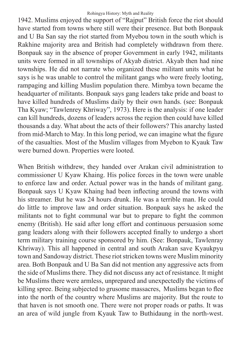1942. Muslims enjoyed the support of "Rajput" British force the riot should have started from towns where still were their presence. But both Bonpauk and U Ba San say the riot started from Myebou town in the south which is Rakhine majority area and British had completely withdrawn from there. Bonpauk say in the absence of proper Government in early 1942, militants units were formed in all townships of Akyab district. Akyab then had nine townships. He did not narrate who organized these militant units what he says is he was unable to control the militant gangs who were freely looting, rampaging and killing Muslim population there. Mimbya town became the headquarter of militants. Bonpauk says gang leaders take pride and boast to have killed hundreds of Muslims daily by their own hands. (see: Bonpauk Tha Kyaw; "Tawlenrey Khriway", 1973). Here is the analysis: if one leader can kill hundreds, dozens of leaders across the region then could have killed thousands a day. What about the acts of their followers? This anarchy lasted from mid-March to May. In this long period, we can imagine what the figure of the casualties. Most of the Muslim villages from Myebon to Kyauk Taw were burned down. Properties were looted.

When British withdrew, they handed over Arakan civil administration to commissioner U Kyaw Khaing. His police forces in the town were unable to enforce law and order. Actual power was in the hands of militant gang. Bonpauk says U Kyaw Khaing had been inflecting around the towns with his streamer. But he was 24 hours drunk. He was a terrible man. He could do little to improve law and order situation. Bonpauk says he asked the militants not to fight communal war but to prepare to fight the common enemy (British). He said after long effort and continuous persuasion some gang leaders along with their followers accepted finally to undergo a short term military training course sponsored by him. (See: Bonpauk, Tawlenray Khriway). This all happened in central and south Arakan save Kyaukpyu town and Sandoway district. These riot stricken towns were Muslim minority area. Both Bonpauk and U Ba San did not mention any aggressive acts from the side of Muslims there. They did not discuss any act of resistance. It might be Muslims there were armless, unprepared and unexpectedly the victims of killing spree. Being subjected to grusome massacres, Muslims began to flee into the north of the country where Muslims are majority. But the route to that haven is not smooth one. There were not proper roads or paths. It was an area of wild jungle from Kyauk Taw to Buthidaung in the north-west.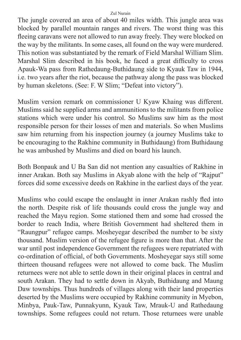The jungle covered an area of about 40 miles width. This jungle area was blocked by parallel mountain ranges and rivers. The worst thing was this fleeing caravans were not allowed to run away freely. They were blocked on the way by the militants. In some cases, all found on the way were murdered. This notion was substantiated by the remark of Field Marshal William Slim. Marshal Slim described in his book, he faced a great difficulty to cross Apauk-Wa pass from Rathedaung-Buthidaung side to Kyauk Taw in 1944, i.e. two years after the riot, because the pathway along the pass was blocked by human skeletons. (See: F. W Slim; "Defeat into victory").

Muslim version remark on commissioner U Kyaw Khaing was different. Muslims said he supplied arms and ammunitions to the militants from police stations which were under his control. So Muslims saw him as the most responsible person for their losses of men and materials. So when Muslims saw him returning from his inspection journey (a journey Muslims take to be encouraging to the Rakhine community in Buthidaung) from Buthidaung he was ambushed by Muslims and died on board his launch.

Both Bonpauk and U Ba San did not mention any casualties of Rakhine in inner Arakan. Both say Muslims in Akyab alone with the help of "Rajput" forces did some excessive deeds on Rakhine in the earliest days of the year.

Muslims who could escape the onslaught in inner Arakan rashly fled into the north. Despite risk of life thousands could cross the jungle way and reached the Mayu region. Some stationed them and some had crossed the border to reach India, where British Government had sheltered them in "Raungpur" refugee camps. Mosheyegar described the number to be sixty thousand. Muslim version of the refugee figure is more than that. After the war until post independence Government the refugees were repatriated with co-ordination of official, of both Governments. Mosheyegar says still some thirteen thousand refugees were not allowed to come back. The Muslim returnees were not able to settle down in their original places in central and south Arakan. They had to settle down in Akyab, Buthidaung and Maung Daw townships. Thus hundreds of villages along with their land properties deserted by the Muslims were occupied by Rakhine community in Myebon, Minbya, Pauk-Taw, Punnakyunn, Kyauk Taw, Mrauk-U and Rathedaung townships. Some refugees could not return. Those returnees were unable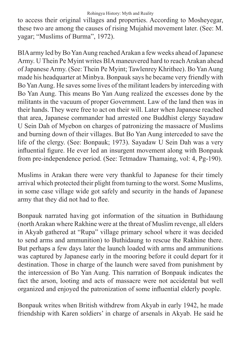#### Rohingya History: Myth and Reality

to access their original villages and properties. According to Mosheyegar, these two are among the causes of rising Mujahid movement later. (See: M. yagar; "Muslims of Burma", 1972).

BIA army led by Bo Yan Aung reached Arakan a few weeks ahead of Japanese Army. U Thein Pe Myint writes BIA maneuvered hard to reach Arakan ahead of Japanese Army. (See: Thein Pe Myint; Tawlenrey Khrithee). Bo Yan Aung made his headquarter at Minbya. Bonpauk says he became very friendly with Bo Yan Aung. He saves some lives of the militant leaders by interceding with Bo Yan Aung. This means Bo Yan Aung realized the excesses done by the militants in the vacuum of proper Government. Law of the land then was in their hands. They were free to act on their will. Later when Japanese reached that area, Japanese commander had arrested one Buddhist clergy Sayadaw U Sein Dah of Myebon on charges of patronizing the massacre of Muslims and burning down of their villages. But Bo Yan Aung interceded to save the life of the clergy. (See: Bonpauk; 1973). Sayadaw U Sein Dah was a very influential figure. He ever led an insurgent movement along with Bonpauk from pre-independence period. (See: Tetmadaw Thamaing, vol: 4, Pg-190).

Muslims in Arakan there were very thankful to Japanese for their timely arrival which protected their plight from turning to the worst. Some Muslims, in some case village wide got safely and security in the hands of Japanese army that they did not had to flee.

Bonpauk narrated having got information of the situation in Buthidaung (north Arakan where Rakhine were at the threat of Muslim revenge, all elders in Akyab gathered at "Rupa" village primary school where it was decided to send arms and ammunition) to Buthidaung to rescue the Rakhine there. But perhaps a few days later the launch loaded with arms and ammunitions was captured by Japanese early in the mooring before it could depart for it destination. Those in charge of the launch were saved from punishment by the intercession of Bo Yan Aung. This narration of Bonpauk indicates the fact the arson, looting and acts of massacre were not accidental but well organized and enjoyed the patronization of some influential elderly people.

Bonpauk writes when British withdrew from Akyab in early 1942, he made friendship with Karen soldiers' in charge of arsenals in Akyab. He said he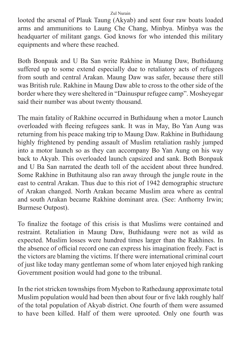looted the arsenal of Plauk Taung (Akyab) and sent four raw boats loaded arms and ammunitions to Laung Che Chang, Minbya. Minbya was the headquarter of militant gangs. God knows for who intended this military equipments and where these reached.

Both Bonpauk and U Ba San write Rakhine in Maung Daw, Buthidaung suffered up to some extend especially due to retaliatory acts of refugees from south and central Arakan. Maung Daw was safer, because there still was British rule. Rakhine in Maung Daw able to cross to the other side of the border where they were sheltered in "Dainuspur refugee camp". Mosheyegar said their number was about twenty thousand.

The main fatality of Rakhine occurred in Buthidaung when a motor Launch overloaded with fleeing refugees sank. It was in May, Bo Yan Aung was returning from his peace making trip to Maung Daw. Rakhine in Buthidaung highly frightened by pending assault of Muslim retaliation rashly jumped into a motor launch so as they can accompany Bo Yan Aung on his way back to Akyab. This overloaded launch capsized and sank. Both Bonpauk and U Ba San narrated the death toll of the accident about three hundred. Some Rakhine in Buthitaung also ran away through the jungle route in the east to central Arakan. Thus due to this riot of 1942 demographic structure of Arakan changed. North Arakan became Muslim area where as central and south Arakan became Rakhine dominant area. (See: Anthorny Irwin; Burmese Outpost).

To finalize the footage of this crisis is that Muslims were contained and restraint. Retaliation in Maung Daw, Buthidaung were not as wild as expected. Muslim losses were hundred times larger than the Rakhines. In the absence of official record one can express his imagination freely. Fact is the victors are blaming the victims. If there were international criminal court of just like today many gentleman some of whom later enjoyed high ranking Government position would had gone to the tribunal.

In the riot stricken townships from Myebon to Rathedaung approximate total Muslim population would had been then about four or five lakh roughly half of the total population of Akyab district. One fourth of them were assumed to have been killed. Half of them were uprooted. Only one fourth was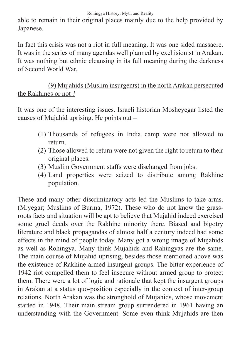Rohingya History: Myth and Reality

able to remain in their original places mainly due to the help provided by Japanese.

In fact this crisis was not a riot in full meaning. It was one sided massacre. It was in the series of many agendas well planned by exchisionist in Arakan. It was nothing but ethnic cleansing in its full meaning during the darkness of Second World War.

(9) Mujahids (Muslim insurgents) in the north Arakan persecuted the Rakhines or not ?

It was one of the interesting issues. Israeli historian Mosheyegar listed the causes of Mujahid uprising. He points out –

- (1) Thousands of refugees in India camp were not allowed to return.
- (2) Those allowed to return were not given the right to return to their original places.
- (3) Muslim Government staffs were discharged from jobs.
- (4) Land properties were seized to distribute among Rakhine population.

These and many other discriminatory acts led the Muslims to take arms. (M.yegar; Muslims of Burma, 1972). These who do not know the grassroots facts and situation will be apt to believe that Mujahid indeed exercised some gruel deeds over the Rakhine minority there. Biased and bigotry literature and black propagandas of almost half a century indeed had some effects in the mind of people today. Many got a wrong image of Mujahids as well as Rohingya. Many think Mujahids and Rahingyas are the same. The main course of Mujahid uprising, besides those mentioned above was the existence of Rakhine armed insurgent groups. The bitter experience of 1942 riot compelled them to feel insecure without armed group to protect them. There were a lot of logic and rationale that kept the insurgent groups in Arakan at a status quo-position especially in the context of inter-group relations. North Arakan was the stronghold of Mujahids, whose movement started in 1948. Their main stream group surrendered in 1961 having an understanding with the Government. Some even think Mujahids are then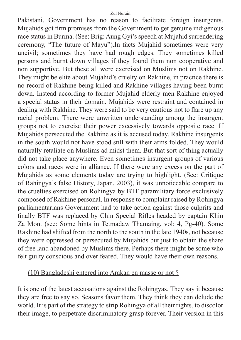Pakistani. Government has no reason to facilitate foreign insurgents. Mujahids got firm promises from the Government to get genuine indigenous race status in Burma. (See: Brig: Aung Gyi's speech at Mujahid surrendering ceremony, "The future of Mayu").In facts Mujahid sometimes were very uncivil; sometimes they have had rough edges. They sometimes killed persons and burnt down villages if they found them non cooperative and non supportive. But these all were exercised on Muslims not on Rakhine. They might be elite about Mujahid's cruelty on Rakhine, in practice there is no record of Rakhine being killed and Rakhine villages having been burnt down. Instead according to former Mujahid elderly men Rakhine enjoyed a special status in their domain. Mujahids were restraint and contained in dealing with Rakhine. They were said to be very cautious not to flare up any racial problem. There were unwritten understanding among the insurgent groups not to exercise their power excessively towards opposite race. If Mujahids persecuted the Rakhine as it is accused today. Rakhine insurgents in the south would not have stood still with their arms folded. They would naturally retaliate on Muslims ad midst them. But that sort of thing actually did not take place anywhere. Even sometimes insurgent groups of various colors and races were in alliance. If there were any excess on the part of Mujahids as some elements today are trying to highlight. (See: Critique of Rahingya's false History, Japan, 2003), it was unnoticeable compare to the cruelties exercised on Rohingya by BTF paramilitary force exclusively composed of Rakhine personal. In response to complaint raised by Rohingya parliamentarians Government had to take action against those culprits and finally BTF was replaced by Chin Special Rifles headed by captain Khin Za Mon. (see: Some hints in Tetmadaw Thamaing, vol: 4, Pg-40). Some Rakhine had shifted from the north to the south in the late 1940s, not because they were oppressed or persecuted by Mujahids but just to obtain the share of free land abandoned by Muslims there. Perhaps there might be some who felt guilty conscious and over feared. They would have their own reasons.

### (10) Bangladeshi entered into Arakan en masse or not ?

It is one of the latest accusations against the Rohingyas. They say it because they are free to say so. Seasons favor them. They think they can delude the world. It is part of the strategy to strip Rohingya of all their rights, to discolor their image, to perpetrate discriminatory grasp forever. Their version in this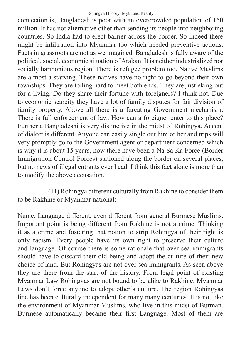connection is, Bangladesh is poor with an overcrowded population of 150 million. It has not alternative other than sending its people into neighboring countries. So India had to erect barrier across the border. So indeed there might be infiltration into Myanmar too which needed preventive actions. Facts in grassroots are not as we imagined. Bangladesh is fully aware of the political, social, economic situation of Arakan. It is neither industrialized nor socially harmonious region. There is refugee problem too. Native Muslims are almost a starving. These natives have no right to go beyond their own townships. They are toiling hard to meet both ends. They are just eking out for a living. Do they share their fortune with foreigners? I think not. Due to economic scarcity they have a lot of family disputes for fair division of family property. Above all there is a furcating Government mechanism. There is full enforcement of law. How can a foreigner enter to this place? Further a Bangladeshi is very distinctive in the midst of Rohingya. Accent of dialect is different. Anyone can easily single out him or her and trips will very promptly go to the Government agent or department concerned which is why it is about 15 years, now there have been a Na Sa Ka Force (Border Immigration Control Forces) stationed along the border on several places, but no news of illegal entrants ever head. I think this fact alone is more than to modify the above accusation.

### (11) Rohingya different culturally from Rakhine to consider them to be Rakhine or Myanmar national:

Name, Language different, even different from general Burmese Muslims. Important point is being different from Rakhine is not a crime. Thinking it as a crime and fostering that notion to strip Rohingya of their right is only racism. Every people have its own right to preserve their culture and language. Of course there is some rationale that over sea immigrants should have to discard their old being and adopt the culture of their new choice of land. But Rohingyas are not over sea immigrants. As seen above they are there from the start of the history. From legal point of existing Myanmar Law Rohingyas are not bound to be alike to Rakhine. Myanmar Laws don't force anyone to adopt other's culture. The region Rohingyas line has been culturally independent for many many centuries. It is not like the environment of Myanmar Muslims, who live in this midst of Burman. Burmese automatically became their first Language. Most of them are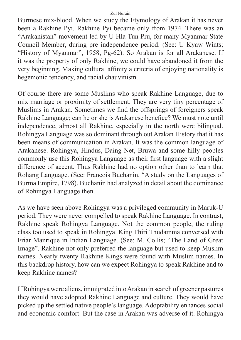Burmese mix-blood. When we study the Etymology of Arakan it has never been a Rakhine Pyi. Rakhine Pyi became only from 1974. There was an "Arakanistan" movement led by U Hla Tun Pru, for many Myanmar State Council Member, during pre independence period. (See: U Kyaw Wints; "History of Myanmar", 1958, Pg-62). So Arakan is for all Arakanese. If it was the property of only Rakhine, we could have abandoned it from the very beginning. Making cultural affinity a criteria of enjoying nationality is hegemonic tendency, and racial chauvinism.

Of course there are some Muslims who speak Rakhine Language, due to mix marriage or proximity of settlement. They are very tiny percentage of Muslims in Arakan. Sometimes we find the offsprings of foreigners speak Rakhine Language; can he or she is Arakanese benefice? We must note until independence, almost all Rakhine, especially in the north were bilingual. Rohingya Language was so dominant through out Arakan History that it has been means of communication in Arakan. It was the common language of Arakanese. Rohingya, Hindus, Daing Net, Bruwa and some hilly peoples commonly use this Rohingya Language as their first language with a slight difference of accent. Thus Rakhine had no option other than to learn that Rohang Language. (See: Francois Buchanin, "A study on the Languages of Burma Empire, 1798). Buchanin had analyzed in detail about the dominance of Rohingya Language then.

As we have seen above Rohingya was a privileged community in Maruk-U period. They were never compelled to speak Rakhine Language. In contrast, Rakhine speak Rohingya Language. Not the common people, the ruling class too used to speak in Rohingya. King Thiri Thudamma conversed with Friar Manrique in Indian Language. (See: M. Collis; "The Land of Great Image". Rakhine not only preferred the language but used to keep Muslim names. Nearly twenty Rakhine Kings were found with Muslim names. In this backdrop history, how can we expect Rohingya to speak Rakhine and to keep Rakhine names?

If Rohingya were aliens, immigrated into Arakan in search of greener pastures they would have adopted Rakhine Language and culture. They would have picked up the settled native people's language. Adoptability enhances social and economic comfort. But the case in Arakan was adverse of it. Rohingya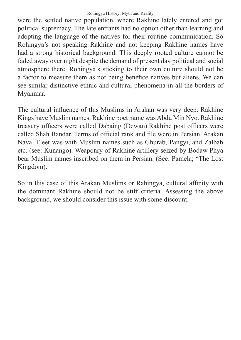were the settled native population, where Rakhine lately entered and got political supremacy. The late entrants had no option other than learning and adopting the language of the natives for their routine communication. So Rohingya's not speaking Rakhine and not keeping Rakhine names have had a strong historical background. This deeply rooted culture cannot be faded away over night despite the demand of present day political and social atmosphere there. Rohingya's sticking to their own culture should not be a factor to measure them as not being benefice natives but aliens. We can see similar distinctive ethnic and cultural phenomena in all the borders of Myanmar.

The cultural influence of this Muslims in Arakan was very deep. Rakhine Kings have Muslim names. Rakhine poet name was Abdu Min Nyo. Rakhine treasury officers were called Dabaing (Dewan).Rakhine post officers were called Shah Bandar. Terms of official rank and file were in Persian. Arakan Naval Fleet was with Muslim names such as Ghurab, Pangyi, and Zalbah etc. (see: Kunango). Weaponry of Rakhine artillery seized by Bodaw Phya bear Muslim names inscribed on them in Persian. (See: Pamela; "The Lost Kingdom).

So in this case of this Arakan Muslims or Rahingya, cultural affinity with the dominant Rakhine should not be stiff criteria. Assessing the above background, we should consider this issue with some discount.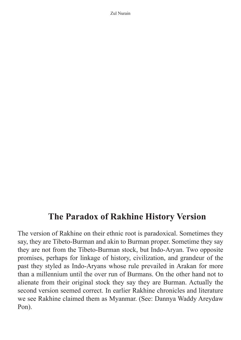## **The Paradox of Rakhine History Version**

The version of Rakhine on their ethnic root is paradoxical. Sometimes they say, they are Tibeto-Burman and akin to Burman proper. Sometime they say they are not from the Tibeto-Burman stock, but Indo-Aryan. Two opposite promises, perhaps for linkage of history, civilization, and grandeur of the past they styled as Indo-Aryans whose rule prevailed in Arakan for more than a millennium until the over run of Burmans. On the other hand not to alienate from their original stock they say they are Burman. Actually the second version seemed correct. In earlier Rakhine chronicles and literature we see Rakhine claimed them as Myanmar. (See: Dannya Waddy Areydaw Pon).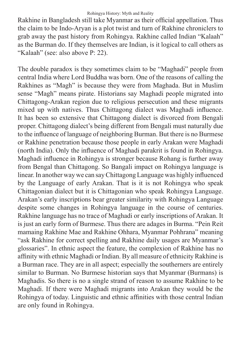#### Rohingya History: Myth and Reality

Rakhine in Bangladesh still take Myanmar as their official appellation. Thus the claim to be Indo-Aryan is a plot twist and turn of Rakhine chroniclers to grab away the past history from Rohingya. Rakhine called Indian "Kalaah" as the Burman do. If they themselves are Indian, is it logical to call others as "Kalaah" (see: also above P: 22).

The double paradox is they sometimes claim to be "Maghadi" people from central India where Lord Buddha was born. One of the reasons of calling the Rakhines as "Magh" is because they were from Maghada. But in Muslim sense "Magh" means pirate. Historians say Maghadi people migrated into Chittagong-Arakan region due to religious persecution and these migrants mixed up with natives. Thus Chittagong dialect was Maghadi influence. It has been so extensive that Chittagong dialect is divorced from Bengali proper. Chittagong dialect's being different from Bengali must naturally due to the influence of language of neighboring Burman. But there is no Burmese or Rakhine penetration because those people in early Arakan were Maghadi (north India). Only the influence of Maghadi parakrit is found in Rohingya. Maghadi influence in Rohingya is stronger because Rohang is further away from Bengal than Chittagong. So Bangali impact on Rohingya language is linear. In another way we can say Chittagong Language was highly influenced by the Language of early Arakan. That is it is not Rohingya who speak Chittagonian dialect but it is Chittagonian who speak Rohingya Language. Arakan's early inscriptions bear greater similarity with Rohingya Language despite some changes in Rohingya language in the course of centuries. Rakhine language has no trace of Maghadi or early inscriptions of Arakan. It is just an early form of Burmese. Thus there are adages in Burma. "Pein Reit mamaing Rakhine Mae and Rakhine Ohhara, Myanmar Pohhrana" meaning "ask Rakhine for correct spelling and Rakhine daily usages are Myanmar's glossaries". In ethnic aspect the feature, the complexion of Rakhine has no affinity with ethnic Maghadi or Indian. By all measure of ethnicity Rakhine is a Burman race. They are in all aspect; especially the southerners are entirely similar to Burman. No Burmese historian says that Myanmar (Burmans) is Maghadis. So there is no a single strand of reason to assume Rakhine to be Maghadi. If there were Maghadi migrants into Arakan they would be the Rohingya of today. Linguistic and ethnic affinities with those central Indian are only found in Rohingya.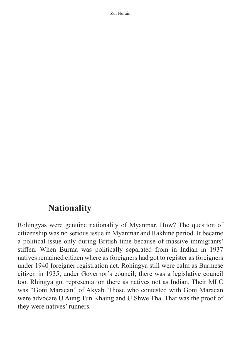## **Nationality**

Rohingyas were genuine nationality of Myanmar. How? The question of citizenship was no serious issue in Myanmar and Rakhine period. It became a political issue only during British time because of massive immigrants' stiffen. When Burma was politically separated from in Indian in 1937 natives remained citizen where as foreigners had got to register as foreigners under 1940 foreigner registration act. Rohingya still were calm as Burmese citizen in 1935, under Governor's council; there was a legislative council too. Rhingya got representation there as natives not as Indian. Their MLC was "Goni Maracan" of Akyab. Those who contested with Goni Maracan were advocate U Aung Tun Khaing and U Shwe Tha. That was the proof of they were natives' runners.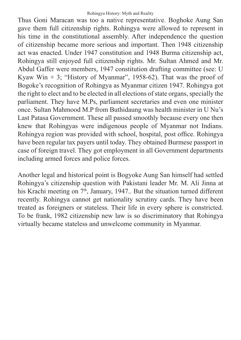Thus Goni Maracan was too a native representative. Boghoke Aung San gave them full citizenship rights. Rohingya were allowed to represent in his time in the constitutional assembly. After independence the question of citizenship became more serious and important. Then 1948 citizenship act was enacted. Under 1947 constitution and 1948 Burma citizenship act, Rohingya still enjoyed full citizenship rights. Mr. Sultan Ahmed and Mr. Abdul Gaffer were members, 1947 constitution drafting committee (see: U Kyaw Win  $+$  3; "History of Myanmar", 1958-62). That was the proof of Bogoke's recognition of Rohingya as Myanmar citizen 1947. Rohingya got the right to elect and to be elected in all elections of state organs, specially the parliament. They have M.Ps, parliament secretaries and even one minister once. Sultan Mahmood M.P from Buthidaung was health minister in U Nu's Last Patasa Government. These all passed smoothly because every one then knew that Rohingyas were indigenous people of Myanmar not Indians. Rohingya region was provided with school, hospital, post office. Rohingya have been regular tax payers until today. They obtained Burmese passport in case of foreign travel. They got employment in all Government departments including armed forces and police forces.

Another legal and historical point is Bogyoke Aung San himself had settled Rohingya's citizenship question with Pakistani leader Mr. M. Ali Jinna at his Krachi meeting on  $7<sup>th</sup>$ , January, 1947.. But the situation turned different recently. Rohingya cannot get nationality scrutiny cards. They have been treated as foreigners or stateless. Their life in every sphere is constricted. To be frank, 1982 citizenship new law is so discriminatory that Rohingya virtually became stateless and unwelcome community in Myanmar.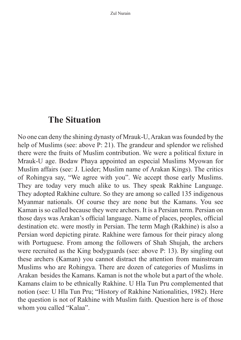## **The Situation**

No one can deny the shining dynasty of Mrauk-U, Arakan was founded by the help of Muslims (see: above P: 21). The grandeur and splendor we relished there were the fruits of Muslim contribution. We were a political fixture in Mrauk-U age. Bodaw Phaya appointed an especial Muslims Myowan for Muslim affairs (see: J. Lieder; Muslim name of Arakan Kings). The critics of Rohingya say, "We agree with you". We accept those early Muslims. They are today very much alike to us. They speak Rakhine Language. They adopted Rakhine culture. So they are among so called 135 indigenous Myanmar nationals. Of course they are none but the Kamans. You see Kaman is so called because they were archers. It is a Persian term. Persian on those days was Arakan's official language. Name of places, peoples, official destination etc. were mostly in Persian. The term Magh (Rakhine) is also a Persian word depicting pirate. Rakhine were famous for their piracy along with Portuguese. From among the followers of Shah Shujah, the archers were recruited as the King bodyguards (see: above P: 13). By singling out these archers (Kaman) you cannot distract the attention from mainstream Muslims who are Rohingya. There are dozen of categories of Muslims in Arakan besides the Kamans. Kaman is not the whole but a part of the whole. Kamans claim to be ethnically Rakhine. U Hla Tun Pru complemented that notion (see: U Hla Tun Pru; "History of Rakhine Nationalities, 1982). Here the question is not of Rakhine with Muslim faith. Question here is of those whom you called "Kalaa".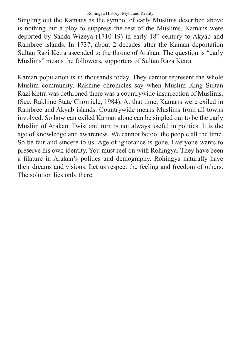Singling out the Kamans as the symbol of early Muslims described above is nothing but a ploy to suppress the rest of the Muslims. Kamans were deported by Sanda Wizeya (1710-19) in early  $18<sup>th</sup>$  century to Akyab and Rambree islands. In 1737, about 2 decades after the Kaman deportation Sultan Razi Ketra ascended to the throne of Arakan. The question is "early Muslims" means the followers, supporters of Sultan Raza Ketra.

Kaman population is in thousands today. They cannot represent the whole Muslim community. Rakhine chronicles say when Muslim King Sultan Razi Ketra was dethroned there was a countrywide insurrection of Muslims. (See: Rakhine State Chronicle, 1984). At that time, Kamans were exiled in Rambree and Akyab islands. Countrywide means Muslims from all towns involved. So how can exiled Kaman alone can be singled out to be the early Muslim of Arakan. Twist and turn is not always useful in politics. It is the age of knowledge and awareness. We cannot befool the people all the time. So be fair and sincere to us. Age of ignorance is gone. Everyone wants to preserve his own identity. You must reel on with Rohingya. They have been a filature in Arakan's politics and demography. Rohingya naturally have their dreams and visions. Let us respect the feeling and freedom of others. The solution lies only there.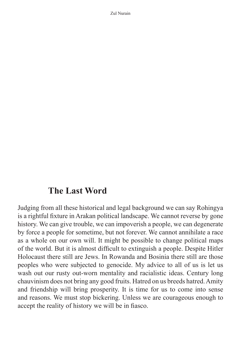## **The Last Word**

Judging from all these historical and legal background we can say Rohingya is a rightful fixture in Arakan political landscape. We cannot reverse by gone history. We can give trouble, we can impoverish a people, we can degenerate by force a people for sometime, but not forever. We cannot annihilate a race as a whole on our own will. It might be possible to change political maps of the world. But it is almost difficult to extinguish a people. Despite Hitler Holocaust there still are Jews. In Rowanda and Bosinia there still are those peoples who were subjected to genocide. My advice to all of us is let us wash out our rusty out-worn mentality and racialistic ideas. Century long chauvinism does not bring any good fruits. Hatred on us breeds hatred. Amity and friendship will bring prosperity. It is time for us to come into sense and reasons. We must stop bickering. Unless we are courageous enough to accept the reality of history we will be in fiasco.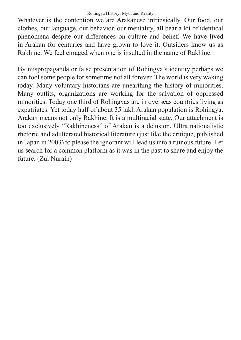#### Rohingya History: Myth and Reality

Whatever is the contention we are Arakanese intrinsically. Our food, our clothes, our language, our behavior, our mentality, all bear a lot of identical phenomena despite our differences on culture and belief. We have lived in Arakan for centuries and have grown to love it. Outsiders know us as Rakhine. We feel enraged when one is insulted in the name of Rakhine.

By mispropaganda or false presentation of Rohingya's identity perhaps we can fool some people for sometime not all forever. The world is very waking today. Many voluntary historians are unearthing the history of minorities. Many outfits, organizations are working for the salvation of oppressed minorities. Today one third of Rohingyas are in overseas countries living as expatriates. Yet today half of about 35 lakh Arakan population is Rohingya. Arakan means not only Rakhine. It is a multiracial state. Our attachment is too exclusively "Rakhineness" of Arakan is a delusion. Ultra nationalistic rhetoric and adulterated historical literature (just like the critique, published in Japan in 2003) to please the ignorant will lead us into a ruinous future. Let us search for a common platform as it was in the past to share and enjoy the future. (Zul Nurain)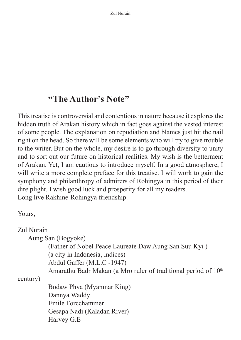# **"The Author's Note"**

This treatise is controversial and contentious in nature because it explores the hidden truth of Arakan history which in fact goes against the vested interest of some people. The explanation on repudiation and blames just hit the nail right on the head. So there will be some elements who will try to give trouble to the writer. But on the whole, my desire is to go through diversity to unity and to sort out our future on historical realities. My wish is the betterment of Arakan. Yet, I am cautious to introduce myself. In a good atmosphere, I will write a more complete preface for this treatise. I will work to gain the symphony and philanthropy of admirers of Rohingya in this period of their dire plight. I wish good luck and prosperity for all my readers. Long live Rakhine-Rohingya friendship.

Yours,

Zul Nurain

Aung San (Bogyoke)

(Father of Nobel Peace Laureate Daw Aung San Suu Kyi ) (a city in Indonesia, indices)

Abdul Gaffer (M.L.C -1947)

Amarathu Badr Makan (a Mro ruler of traditional period of 10<sup>th</sup>

century)

Bodaw Phya (Myanmar King) Dannya Waddy Emile Forcchammer Gesapa Nadi (Kaladan River) Harvey G.E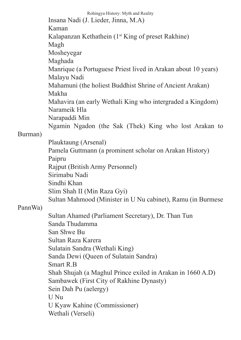Rohingya History: Myth and Reality Insana Nadi (J. Lieder, Jinna, M.A) Kaman Kalapanzan Kethathein (1st King of preset Rakhine) Magh Mosheyegar Maghada Manrique (a Portuguese Priest lived in Arakan about 10 years) Malayu Nadi Mahamuni (the holiest Buddhist Shrine of Ancient Arakan) Makha Mahavira (an early Wethali King who intergraded a Kingdom) Narameik Hla Narapaddi Min Ngamin Ngadon (the Sak (Thek) King who lost Arakan to Burman) Plauktaung (Arsenal) Pamela Guttmann (a prominent scholar on Arakan History) Paipru Rajput (British Army Personnel) Sirimabu Nadi Sindhi Khan Slim Shah II (Min Raza Gyi) Sultan Mahmood (Minister in U Nu cabinet), Ramu (in Burmese PannWa) Sultan Ahamed (Parliament Secretary), Dr. Than Tun Sanda Thudamma San Shwe Bu Sultan Raza Karera Sulatain Sandra (Wethali King) Sanda Dewi (Queen of Sulatain Sandra) Smart R.B Shah Shujah (a Maghul Prince exiled in Arakan in 1660 A.D) Sambawek (First City of Rakhine Dynasty) Sein Dah Pu (aelergy) U Nu U Kyaw Kahine (Commissioner) Wethali (Verseli)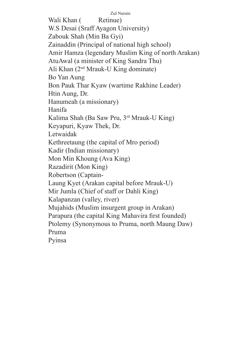Zul Nurain Wali Khan (Retinue) W.S Desai (Sraff Ayagon University) Zabouk Shah (Min Ba Gyi) Zainaddin (Principal of national high school) Amir Hamza (legendary Muslim King of north Arakan) AtuAwal (a minister of King Sandra Thu) Ali Khan (2nd Mrauk-U King dominate) Bo Yan Aung Bon Pauk Thar Kyaw (wartime Rakhine Leader) Htin Aung, Dr. Hanumeah (a missionary) Hanifa Kalima Shah (Ba Saw Pru, 3rd Mrauk-U King) Keyapuri, Kyaw Thek, Dr. Letwaidak Kethreetaung (the capital of Mro period) Kadir (Indian missionary) Mon Min Khoung (Ava King) Razadirit (Mon King) Robertson (Captain-Laung Kyet (Arakan capital before Mrauk-U) Mir Jumla (Chief of staff or Dahli King) Kalapanzan (valley, river) Mujahids (Muslim insurgent group in Arakan) Parapura (the capital King Mahavira first founded) Ptolemy (Synonymous to Pruma, north Maung Daw) Pruma Pyinsa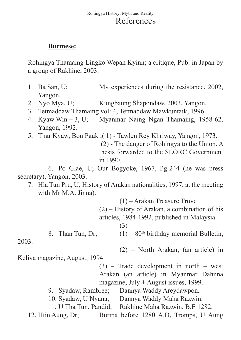## **Burmese:**

Rohingya Thamaing Lingko Wepan Kyinn; a critique, Pub: in Japan by a group of Rakhine, 2003.

- 1. Ba San, U; My experiences during the resistance, 2002, Yangon.
- 2. Nyo Mya, U; Kungbaung Shapondaw, 2003, Yangon.
- 3. Tetmaddaw Thamaing vol: 4, Tetmaddaw Mawkuntaik, 1996.
- 4. Kyaw Win + 3, U; Myanmar Naing Ngan Thamaing, 1958-62, Yangon, 1992.
- 5. Thar Kyaw, Bon Pauk ;( 1) Tawlen Rey Khriway, Yangon, 1973.

 (2) - The danger of Rohingya to the Union. A thesis forwarded to the SLORC Government in 1990.

6. Po Glae, U; Our Bogyoke, 1967, Pg-244 (he was press secretary), Yangon, 2003.

7. Hla Tun Pru, U; History of Arakan nationalities, 1997, at the meeting with Mr M.A. Jinna).

(1) – Arakan Treasure Trove

- (2) History of Arakan, a combination of his articles, 1984-1992, published in Malaysia.
	- $(3) -$

8. Than Tun, Dr;  $(1) - 80<sup>th</sup>$  birthday memorial Bulletin,

2003.

(2) – North Arakan, (an article) in

Keliya magazine, August, 1994.

(3) – Trade development in north – west Arakan (an article) in Myanmar Dahnna magazine, July + August issues, 1999.

- 9. Syadaw, Rambree; Dannya Waddy Areydawpon.
- 10. Syadaw, U Nyana; Dannya Waddy Maha Razwin.

11. U Tha Tun, Pandid; Rakhine Maha Razwin, B.E 1282.

12. Htin Aung, Dr; Burma before 1280 A.D, Tromps, U Aung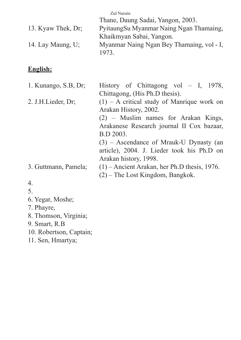|                      | Zul Nurain                                        |
|----------------------|---------------------------------------------------|
|                      | Thane, Daung Sadai, Yangon, 2003.                 |
| 13. Kyaw Thek, Dr.   | Pyitaung Su Myanmar Naing Ngan Thamaing,          |
|                      | Khaikmyan Sabai, Yangon.                          |
| 14. Lay Maung, $U$ ; | Myanmar Naing Ngan Bey Thamaing, vol - I,<br>1973 |
|                      |                                                   |

## **English:**

| 1. Kunango, S.B, Dr;  | History of Chittagong vol $-$ I, 1978,         |
|-----------------------|------------------------------------------------|
|                       | Chittagong, (His Ph.D thesis).                 |
| 2. J.H.Lieder, Dr.    | $(1)$ – A critical study of Manrique work on   |
|                       | Arakan History, 2002.                          |
|                       | (2) – Muslim names for Arakan Kings,           |
|                       | Arakanese Research journal II Cox bazaar,      |
|                       | B.D 2003.                                      |
|                       | $(3)$ – Ascendance of Mrauk-U Dynasty (an      |
|                       | article), 2004. J. Lieder took his Ph.D on     |
|                       | Arakan history, 1998.                          |
| 3. Guttmann, Pamela;  | $(1)$ – Ancient Arakan, her Ph.D thesis, 1976. |
|                       | $(2)$ – The Lost Kingdom, Bangkok.             |
| 4.                    |                                                |
| 5.                    |                                                |
| 6. Yegar, Moshe;      |                                                |
| 7. Phayre,            |                                                |
| 8. Thomson, Virginia; |                                                |

- 9. Smart, R.B
- 
- 10. Robertson, Captain;
- 11. Sen, Hmartya;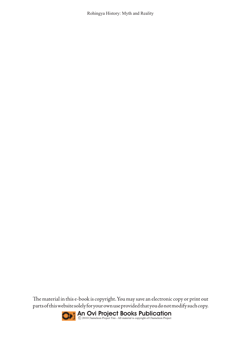Rohingya History: Myth and Reality

The material in this e-book is copyright. You may save an electronic copy or print out parts of this website solely for your own use provided that you do not modify such copy.